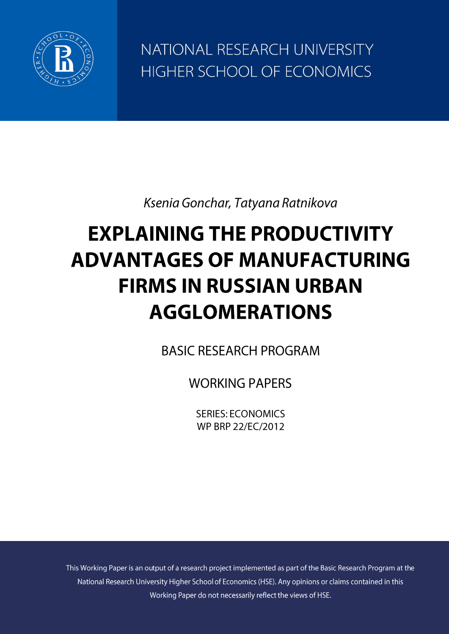

NATIONAL RESEARCH UNIVERSITY HIGHER SCHOOL OF ECONOMICS

Ksenia Gonchar, Tatyana Ratnikova

# **EXPLAINING THE PRODUCTIVITY ADVANTAGES OF MANUFACTURING FIRMS IN RUSSIAN URBAN AGGLOMERATIONS**

**BASIC RESEARCH PROGRAM** 

**WORKING PAPERS** 

**SERIES: ECONOMICS** WP BRP 22/FC/2012

This Working Paper is an output of a research project implemented as part of the Basic Research Program at the National Research University Higher School of Economics (HSE). Any opinions or claims contained in this Working Paper do not necessarily reflect the views of HSE.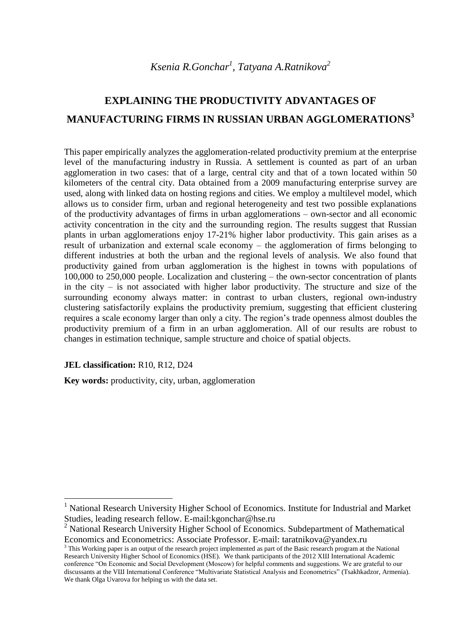# **EXPLAINING THE PRODUCTIVITY ADVANTAGES OF MANUFACTURING FIRMS IN RUSSIAN URBAN AGGLOMERATIONS<sup>3</sup>**

This paper empirically analyzes the agglomeration-related productivity premium at the enterprise level of the manufacturing industry in Russia. A settlement is counted as part of an urban agglomeration in two cases: that of a large, central city and that of a town located within 50 kilometers of the central city. Data obtained from a 2009 manufacturing enterprise survey are used, along with linked data on hosting regions and cities. We employ a multilevel model, which allows us to consider firm, urban and regional heterogeneity and test two possible explanations of the productivity advantages of firms in urban agglomerations – own-sector and all economic activity concentration in the city and the surrounding region. The results suggest that Russian plants in urban agglomerations enjoy 17-21% higher labor productivity. This gain arises as a result of urbanization and external scale economy – the agglomeration of firms belonging to different industries at both the urban and the regional levels of analysis. We also found that productivity gained from urban agglomeration is the highest in towns with populations of 100,000 to 250,000 people. Localization and clustering – the own-sector concentration of plants in the city – is not associated with higher labor productivity. The structure and size of the surrounding economy always matter: in contrast to urban clusters, regional own-industry clustering satisfactorily explains the productivity premium, suggesting that efficient clustering requires a scale economy larger than only a city. The region's trade openness almost doubles the productivity premium of a firm in an urban agglomeration. All of our results are robust to changes in estimation technique, sample structure and choice of spatial objects.

#### **JEL classification:** R10, R12, D24

1

**Key words:** productivity, city, urban, agglomeration

<sup>&</sup>lt;sup>1</sup> National Research University Higher School of Economics. Institute for Industrial and Market Studies, leading research fellow. E-mail:kgonchar@hse.ru

<sup>&</sup>lt;sup>2</sup> National Research University Higher School of Economics. Subdepartment of Mathematical Economics and Econometrics: Associate Professor. E-mail: taratnikova@yandex.ru

 $3$  This Working paper is an output of the research project implemented as part of the Basic research program at the National Research University Higher School of Economics (HSE). We thank participants of the 2012 XШ International Academic conference "On Economic and Social Development (Moscow) for helpful comments and suggestions. We are grateful to our discussants at the VШ International Conference "Multivariate Statistical Analysis and Econometrics" (Tsakhkadzor, Armenia). We thank Olga Uvarova for helping us with the data set.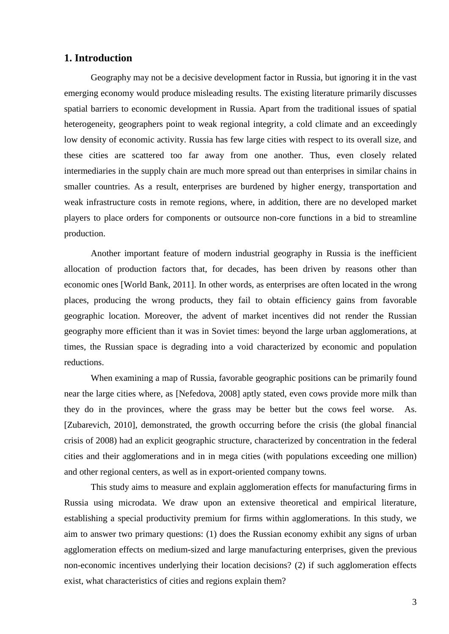#### **1. Introduction**

Geography may not be a decisive development factor in Russia, but ignoring it in the vast emerging economy would produce misleading results. The existing literature primarily discusses spatial barriers to economic development in Russia. Apart from the traditional issues of spatial heterogeneity, geographers point to weak regional integrity, a cold climate and an exceedingly low density of economic activity. Russia has few large cities with respect to its overall size, and these cities are scattered too far away from one another. Thus, even closely related intermediaries in the supply chain are much more spread out than enterprises in similar chains in smaller countries. As a result, enterprises are burdened by higher energy, transportation and weak infrastructure costs in remote regions, where, in addition, there are no developed market players to place orders for components or outsource non-core functions in a bid to streamline production.

Another important feature of modern industrial geography in Russia is the inefficient allocation of production factors that, for decades, has been driven by reasons other than economic ones [World Bank, 2011]. In other words, as enterprises are often located in the wrong places, producing the wrong products, they fail to obtain efficiency gains from favorable geographic location. Moreover, the advent of market incentives did not render the Russian geography more efficient than it was in Soviet times: beyond the large urban agglomerations, at times, the Russian space is degrading into a void characterized by economic and population reductions.

When examining a map of Russia, favorable geographic positions can be primarily found near the large cities where, as [Nefedova, 2008] aptly stated, even cows provide more milk than they do in the provinces, where the grass may be better but the cows feel worse. As. [Zubarevich, 2010], demonstrated, the growth occurring before the crisis (the global financial crisis of 2008) had an explicit geographic structure, characterized by concentration in the federal cities and their agglomerations and in in mega cities (with populations exceeding one million) and other regional centers, as well as in export-oriented company towns.

This study aims to measure and explain agglomeration effects for manufacturing firms in Russia using microdata. We draw upon an extensive theoretical and empirical literature, establishing a special productivity premium for firms within agglomerations. In this study, we aim to answer two primary questions: (1) does the Russian economy exhibit any signs of urban agglomeration effects on medium-sized and large manufacturing enterprises, given the previous non-economic incentives underlying their location decisions? (2) if such agglomeration effects exist, what characteristics of cities and regions explain them?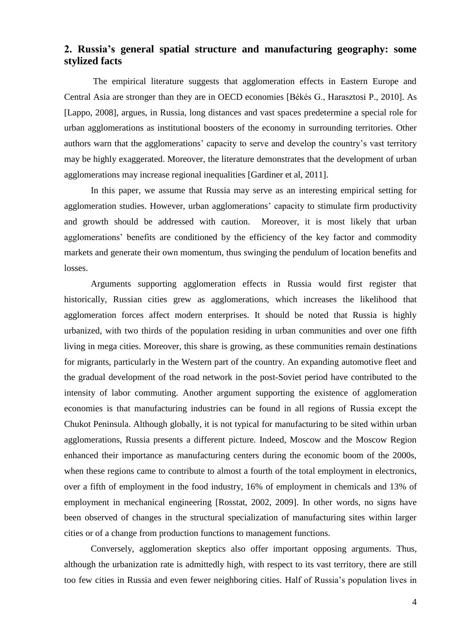### **2. Russia's general spatial structure and manufacturing geography: some stylized facts**

The empirical literature suggests that agglomeration effects in Eastern Europe and Central Asia are stronger than they are in OECD economies [Békés G., Harasztosi P., 2010]. As [Lappo, 2008], argues, in Russia, long distances and vast spaces predetermine a special role for urban agglomerations as institutional boosters of the economy in surrounding territories. Other authors warn that the agglomerations' capacity to serve and develop the country's vast territory may be highly exaggerated. Moreover, the literature demonstrates that the development of urban agglomerations may increase regional inequalities [Gardiner et al, 2011].

In this paper, we assume that Russia may serve as an interesting empirical setting for agglomeration studies. However, urban agglomerations' capacity to stimulate firm productivity and growth should be addressed with caution. Moreover, it is most likely that urban agglomerations' benefits are conditioned by the efficiency of the key factor and commodity markets and generate their own momentum, thus swinging the pendulum of location benefits and losses.

Arguments supporting agglomeration effects in Russia would first register that historically, Russian cities grew as agglomerations, which increases the likelihood that agglomeration forces affect modern enterprises. It should be noted that Russia is highly urbanized, with two thirds of the population residing in urban communities and over one fifth living in mega cities. Moreover, this share is growing, as these communities remain destinations for migrants, particularly in the Western part of the country. An expanding automotive fleet and the gradual development of the road network in the post-Soviet period have contributed to the intensity of labor commuting. Another argument supporting the existence of agglomeration economies is that manufacturing industries can be found in all regions of Russia except the Chukot Peninsula. Although globally, it is not typical for manufacturing to be sited within urban agglomerations, Russia presents a different picture. Indeed, Moscow and the Moscow Region enhanced their importance as manufacturing centers during the economic boom of the 2000s, when these regions came to contribute to almost a fourth of the total employment in electronics, over a fifth of employment in the food industry, 16% of employment in chemicals and 13% of employment in mechanical engineering [Rosstat, 2002, 2009]. In other words, no signs have been observed of changes in the structural specialization of manufacturing sites within larger cities or of a change from production functions to management functions.

Conversely, agglomeration skeptics also offer important opposing arguments. Thus, although the urbanization rate is admittedly high, with respect to its vast territory, there are still too few cities in Russia and even fewer neighboring cities. Half of Russia's population lives in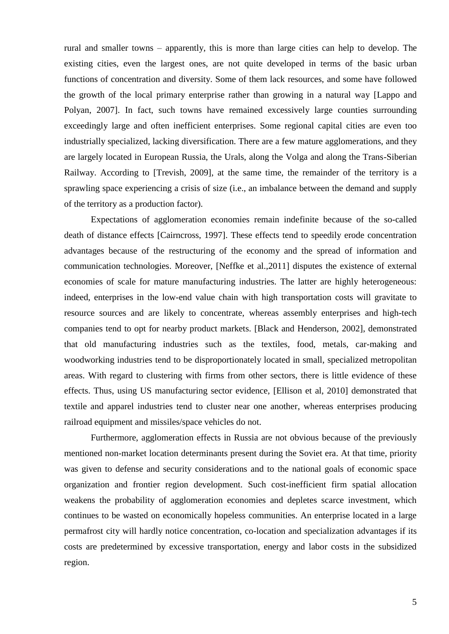rural and smaller towns – apparently, this is more than large cities can help to develop. The existing cities, even the largest ones, are not quite developed in terms of the basic urban functions of concentration and diversity. Some of them lack resources, and some have followed the growth of the local primary enterprise rather than growing in a natural way [Lappo and Polyan, 2007]. In fact, such towns have remained excessively large counties surrounding exceedingly large and often inefficient enterprises. Some regional capital cities are even too industrially specialized, lacking diversification. There are a few mature agglomerations, and they are largely located in European Russia, the Urals, along the Volga and along the Trans-Siberian Railway. According to [Trevish, 2009], at the same time, the remainder of the territory is a sprawling space experiencing a crisis of size (i.e., an imbalance between the demand and supply of the territory as a production factor).

Expectations of agglomeration economies remain indefinite because of the so-called death of distance effects [Cairncross, 1997]. These effects tend to speedily erode concentration advantages because of the restructuring of the economy and the spread of information and communication technologies. Moreover, [Neffke et al.,2011] disputes the existence of external economies of scale for mature manufacturing industries. The latter are highly heterogeneous: indeed, enterprises in the low-end value chain with high transportation costs will gravitate to resource sources and are likely to concentrate, whereas assembly enterprises and high-tech companies tend to opt for nearby product markets. [Black and Henderson, 2002], demonstrated that old manufacturing industries such as the textiles, food, metals, car-making and woodworking industries tend to be disproportionately located in small, specialized metropolitan areas. With regard to clustering with firms from other sectors, there is little evidence of these effects. Thus, using US manufacturing sector evidence, [Ellison et al, 2010] demonstrated that textile and apparel industries tend to cluster near one another, whereas enterprises producing railroad equipment and missiles/space vehicles do not.

Furthermore, agglomeration effects in Russia are not obvious because of the previously mentioned non-market location determinants present during the Soviet era. At that time, priority was given to defense and security considerations and to the national goals of economic space organization and frontier region development. Such cost-inefficient firm spatial allocation weakens the probability of agglomeration economies and depletes scarce investment, which continues to be wasted on economically hopeless communities. An enterprise located in a large permafrost city will hardly notice concentration, co-location and specialization advantages if its costs are predetermined by excessive transportation, energy and labor costs in the subsidized region.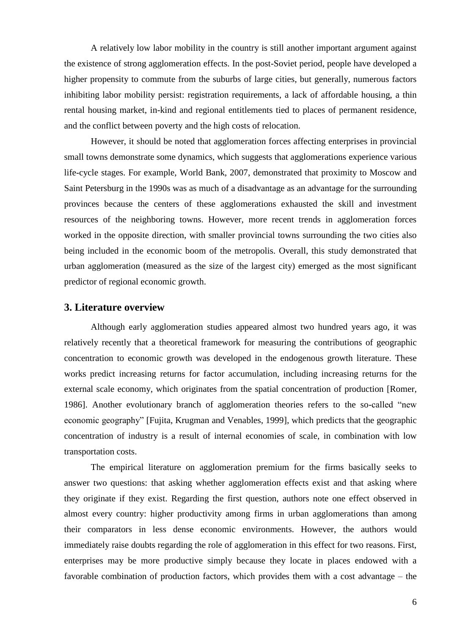A relatively low labor mobility in the country is still another important argument against the existence of strong agglomeration effects. In the post-Soviet period, people have developed a higher propensity to commute from the suburbs of large cities, but generally, numerous factors inhibiting labor mobility persist: registration requirements, a lack of affordable housing, a thin rental housing market, in-kind and regional entitlements tied to places of permanent residence, and the conflict between poverty and the high costs of relocation.

However, it should be noted that agglomeration forces affecting enterprises in provincial small towns demonstrate some dynamics, which suggests that agglomerations experience various life-cycle stages. For example, World Bank, 2007, demonstrated that proximity to Moscow and Saint Petersburg in the 1990s was as much of a disadvantage as an advantage for the surrounding provinces because the centers of these agglomerations exhausted the skill and investment resources of the neighboring towns. However, more recent trends in agglomeration forces worked in the opposite direction, with smaller provincial towns surrounding the two cities also being included in the economic boom of the metropolis. Overall, this study demonstrated that urban agglomeration (measured as the size of the largest city) emerged as the most significant predictor of regional economic growth.

#### **3. Literature overview**

Although early agglomeration studies appeared almost two hundred years ago, it was relatively recently that a theoretical framework for measuring the contributions of geographic concentration to economic growth was developed in the endogenous growth literature. These works predict increasing returns for factor accumulation, including increasing returns for the external scale economy, which originates from the spatial concentration of production [Romer, 1986]. Another evolutionary branch of agglomeration theories refers to the so-called "new economic geography" [Fujita, Krugman and Venables, 1999], which predicts that the geographic concentration of industry is a result of internal economies of scale, in combination with low transportation costs.

The empirical literature on agglomeration premium for the firms basically seeks to answer two questions: that asking whether agglomeration effects exist and that asking where they originate if they exist. Regarding the first question, authors note one effect observed in almost every country: higher productivity among firms in urban agglomerations than among their comparators in less dense economic environments. However, the authors would immediately raise doubts regarding the role of agglomeration in this effect for two reasons. First, enterprises may be more productive simply because they locate in places endowed with a favorable combination of production factors, which provides them with a cost advantage – the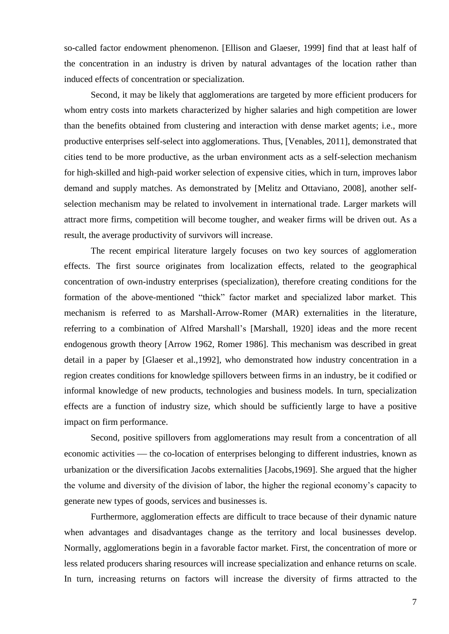so-called factor endowment phenomenon. [Ellison and Glaeser, 1999] find that at least half of the concentration in an industry is driven by natural advantages of the location rather than induced effects of concentration or specialization.

Second, it may be likely that agglomerations are targeted by more efficient producers for whom entry costs into markets characterized by higher salaries and high competition are lower than the benefits obtained from clustering and interaction with dense market agents; i.e., more productive enterprises self-select into agglomerations. Thus, [Venables, 2011], demonstrated that cities tend to be more productive, as the urban environment acts as a self-selection mechanism for high-skilled and high-paid worker selection of expensive cities, which in turn, improves labor demand and supply matches. As demonstrated by [Melitz and Ottaviano, 2008], another selfselection mechanism may be related to involvement in international trade. Larger markets will attract more firms, competition will become tougher, and weaker firms will be driven out. As a result, the average productivity of survivors will increase.

The recent empirical literature largely focuses on two key sources of agglomeration effects. The first source originates from localization effects, related to the geographical concentration of own-industry enterprises (specialization), therefore creating conditions for the formation of the above-mentioned "thick" factor market and specialized labor market. This mechanism is referred to as Marshall-Arrow-Romer (MAR) externalities in the literature, referring to a combination of Alfred Marshall's [Marshall, 1920] ideas and the more recent endogenous growth theory [Arrow 1962, Romer 1986]. This mechanism was described in great detail in a paper by [Glaeser et al.,1992], who demonstrated how industry concentration in a region creates conditions for knowledge spillovers between firms in an industry, be it codified or informal knowledge of new products, technologies and business models. In turn, specialization effects are a function of industry size, which should be sufficiently large to have a positive impact on firm performance.

Second, positive spillovers from agglomerations may result from a concentration of all economic activities — the co-location of enterprises belonging to different industries, known as urbanization or the diversification Jacobs externalities [Jacobs,1969]. She argued that the higher the volume and diversity of the division of labor, the higher the regional economy's capacity to generate new types of goods, services and businesses is.

Furthermore, agglomeration effects are difficult to trace because of their dynamic nature when advantages and disadvantages change as the territory and local businesses develop. Normally, agglomerations begin in a favorable factor market. First, the concentration of more or less related producers sharing resources will increase specialization and enhance returns on scale. In turn, increasing returns on factors will increase the diversity of firms attracted to the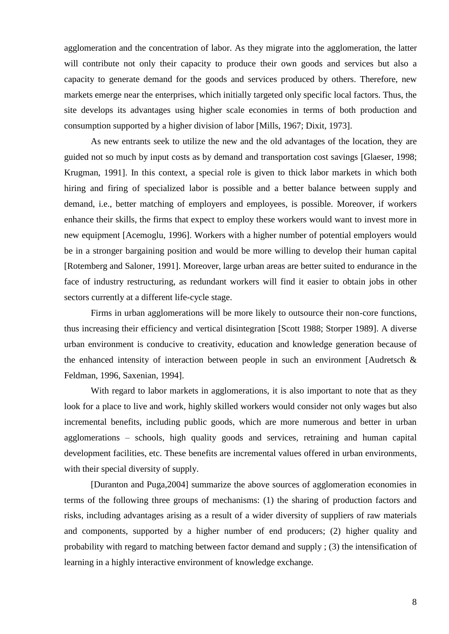agglomeration and the concentration of labor. As they migrate into the agglomeration, the latter will contribute not only their capacity to produce their own goods and services but also a capacity to generate demand for the goods and services produced by others. Therefore, new markets emerge near the enterprises, which initially targeted only specific local factors. Thus, the site develops its advantages using higher scale economies in terms of both production and consumption supported by a higher division of labor [Mills, 1967; Dixit, 1973].

As new entrants seek to utilize the new and the old advantages of the location, they are guided not so much by input costs as by demand and transportation cost savings [Glaeser, 1998; Krugman, 1991]. In this context, a special role is given to thick labor markets in which both hiring and firing of specialized labor is possible and a better balance between supply and demand, i.e., better matching of employers and employees, is possible. Moreover, if workers enhance their skills, the firms that expect to employ these workers would want to invest more in new equipment [Acemoglu, 1996]. Workers with a higher number of potential employers would be in a stronger bargaining position and would be more willing to develop their human capital [Rotemberg and Saloner, 1991]. Moreover, large urban areas are better suited to endurance in the face of industry restructuring, as redundant workers will find it easier to obtain jobs in other sectors currently at a different life-cycle stage.

Firms in urban agglomerations will be more likely to outsource their non-core functions, thus increasing their efficiency and vertical disintegration [Scott 1988; Storper 1989]. A diverse urban environment is conducive to creativity, education and knowledge generation because of the enhanced intensity of interaction between people in such an environment [Audretsch & Feldman, 1996, Saxenian, 1994].

With regard to labor markets in agglomerations, it is also important to note that as they look for a place to live and work, highly skilled workers would consider not only wages but also incremental benefits, including public goods, which are more numerous and better in urban agglomerations – schools, high quality goods and services, retraining and human capital development facilities, etc. These benefits are incremental values offered in urban environments, with their special diversity of supply.

[Duranton and Puga,2004] summarize the above sources of agglomeration economies in terms of the following three groups of mechanisms: (1) the sharing of production factors and risks, including advantages arising as a result of a wider diversity of suppliers of raw materials and components, supported by a higher number of end producers; (2) higher quality and probability with regard to matching between factor demand and supply ; (3) the intensification of learning in a highly interactive environment of knowledge exchange.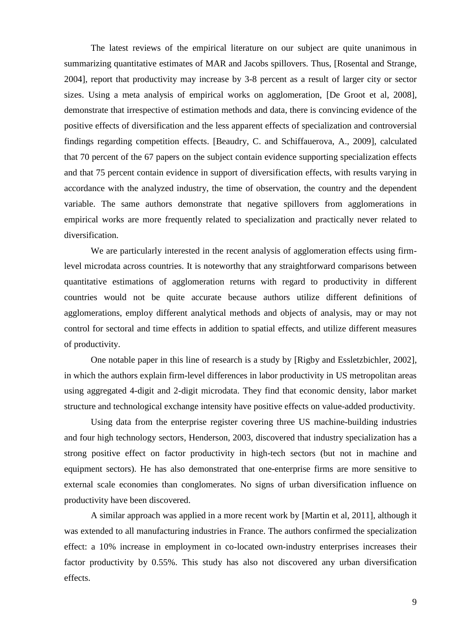The latest reviews of the empirical literature on our subject are quite unanimous in summarizing quantitative estimates of MAR and Jacobs spillovers. Thus, [Rosental and Strange, 2004], report that productivity may increase by 3-8 percent as a result of larger city or sector sizes. Using a meta analysis of empirical works on agglomeration, [De Groot et al, 2008], demonstrate that irrespective of estimation methods and data, there is convincing evidence of the positive effects of diversification and the less apparent effects of specialization and controversial findings regarding competition effects. [Beaudry, C. and Schiffauerova, A., 2009], calculated that 70 percent of the 67 papers on the subject contain evidence supporting specialization effects and that 75 percent contain evidence in support of diversification effects, with results varying in accordance with the analyzed industry, the time of observation, the country and the dependent variable. The same authors demonstrate that negative spillovers from agglomerations in empirical works are more frequently related to specialization and practically never related to diversification.

We are particularly interested in the recent analysis of agglomeration effects using firmlevel microdata across countries. It is noteworthy that any straightforward comparisons between quantitative estimations of agglomeration returns with regard to productivity in different countries would not be quite accurate because authors utilize different definitions of agglomerations, employ different analytical methods and objects of analysis, may or may not control for sectoral and time effects in addition to spatial effects, and utilize different measures of productivity.

One notable paper in this line of research is a study by [Rigby and Essletzbichler, 2002], in which the authors explain firm-level differences in labor productivity in US metropolitan areas using aggregated 4-digit and 2-digit microdata. They find that economic density, labor market structure and technological exchange intensity have positive effects on value-added productivity.

Using data from the enterprise register covering three US machine-building industries and four high technology sectors, Henderson, 2003, discovered that industry specialization has a strong positive effect on factor productivity in high-tech sectors (but not in machine and equipment sectors). He has also demonstrated that one-enterprise firms are more sensitive to external scale economies than conglomerates. No signs of urban diversification influence on productivity have been discovered.

A similar approach was applied in a more recent work by [Martin et al, 2011], although it was extended to all manufacturing industries in France. The authors confirmed the specialization effect: a 10% increase in employment in co-located own-industry enterprises increases their factor productivity by 0.55%. This study has also not discovered any urban diversification effects.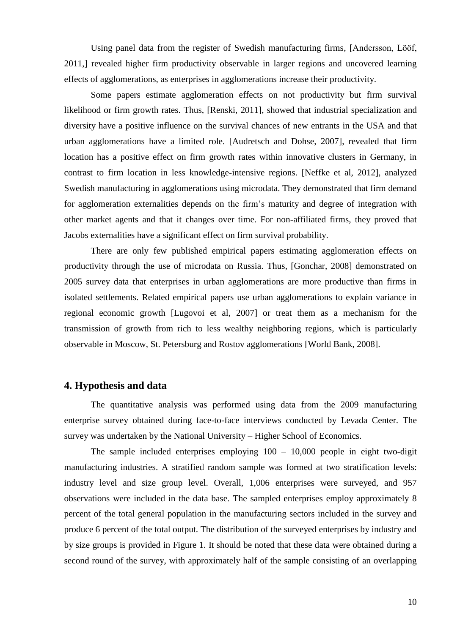Using panel data from the register of Swedish manufacturing firms, [Andersson, Lööf, 2011,] revealed higher firm productivity observable in larger regions and uncovered learning effects of agglomerations, as enterprises in agglomerations increase their productivity.

Some papers estimate agglomeration effects on not productivity but firm survival likelihood or firm growth rates. Thus, [Renski, 2011], showed that industrial specialization and diversity have a positive influence on the survival chances of new entrants in the USA and that urban agglomerations have a limited role. [Audretsch and Dohse, 2007], revealed that firm location has a positive effect on firm growth rates within innovative clusters in Germany, in contrast to firm location in less knowledge-intensive regions. [Neffke et al, 2012], analyzed Swedish manufacturing in agglomerations using microdata. They demonstrated that firm demand for agglomeration externalities depends on the firm's maturity and degree of integration with other market agents and that it changes over time. For non-affiliated firms, they proved that Jacobs externalities have a significant effect on firm survival probability.

There are only few published empirical papers estimating agglomeration effects on productivity through the use of microdata on Russia. Thus, [Gonchar, 2008] demonstrated on 2005 survey data that enterprises in urban agglomerations are more productive than firms in isolated settlements. Related empirical papers use urban agglomerations to explain variance in regional economic growth [Lugovoi et al, 2007] or treat them as a mechanism for the transmission of growth from rich to less wealthy neighboring regions, which is particularly observable in Moscow, St. Petersburg and Rostov agglomerations [World Bank, 2008].

#### **4. Hypothesis and data**

The quantitative analysis was performed using data from the 2009 manufacturing enterprise survey obtained during face-to-face interviews conducted by Levada Center. The survey was undertaken by the National University – Higher School of Economics.

The sample included enterprises employing  $100 - 10,000$  people in eight two-digit manufacturing industries. A stratified random sample was formed at two stratification levels: industry level and size group level. Overall, 1,006 enterprises were surveyed, and 957 observations were included in the data base. The sampled enterprises employ approximately 8 percent of the total general population in the manufacturing sectors included in the survey and produce 6 percent of the total output. The distribution of the surveyed enterprises by industry and by size groups is provided in Figure 1. It should be noted that these data were obtained during a second round of the survey, with approximately half of the sample consisting of an overlapping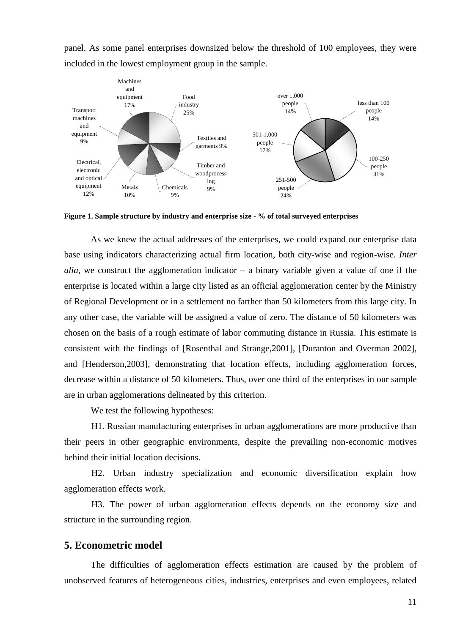panel. As some panel enterprises downsized below the threshold of 100 employees, they were included in the lowest employment group in the sample.



**Figure 1. Sample structure by industry and enterprise size - % of total surveyed enterprises**

As we knew the actual addresses of the enterprises, we could expand our enterprise data base using indicators characterizing actual firm location, both city-wise and region-wise. *Inter alia*, we construct the agglomeration indicator – a binary variable given a value of one if the enterprise is located within a large city listed as an official agglomeration center by the Ministry of Regional Development or in a settlement no farther than 50 kilometers from this large city. In any other case, the variable will be assigned a value of zero. The distance of 50 kilometers was chosen on the basis of a rough estimate of labor commuting distance in Russia. This estimate is consistent with the findings of [Rosenthal and Strange,2001], [Duranton and Overman 2002], and [Henderson,2003], demonstrating that location effects, including agglomeration forces, decrease within a distance of 50 kilometers. Thus, over one third of the enterprises in our sample are in urban agglomerations delineated by this criterion.

We test the following hypotheses:

H1. Russian manufacturing enterprises in urban agglomerations are more productive than their peers in other geographic environments, despite the prevailing non-economic motives behind their initial location decisions.

H2. Urban industry specialization and economic diversification explain how agglomeration effects work.

H3. The power of urban agglomeration effects depends on the economy size and structure in the surrounding region.

#### **5. Econometric model**

The difficulties of agglomeration effects estimation are caused by the problem of unobserved features of heterogeneous cities, industries, enterprises and even employees, related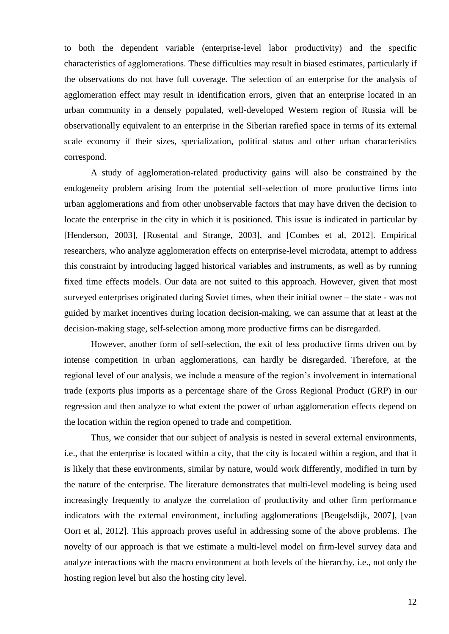to both the dependent variable (enterprise-level labor productivity) and the specific characteristics of agglomerations. These difficulties may result in biased estimates, particularly if the observations do not have full coverage. The selection of an enterprise for the analysis of agglomeration effect may result in identification errors, given that an enterprise located in an urban community in a densely populated, well-developed Western region of Russia will be observationally equivalent to an enterprise in the Siberian rarefied space in terms of its external scale economy if their sizes, specialization, political status and other urban characteristics correspond.

A study of agglomeration-related productivity gains will also be constrained by the endogeneity problem arising from the potential self-selection of more productive firms into urban agglomerations and from other unobservable factors that may have driven the decision to locate the enterprise in the city in which it is positioned. This issue is indicated in particular by [Henderson, 2003], [Rosental and Strange, 2003], and [Combes et al, 2012]. Empirical researchers, who analyze agglomeration effects on enterprise-level microdata, attempt to address this constraint by introducing lagged historical variables and instruments, as well as by running fixed time effects models. Our data are not suited to this approach. However, given that most surveyed enterprises originated during Soviet times, when their initial owner – the state - was not guided by market incentives during location decision-making, we can assume that at least at the decision-making stage, self-selection among more productive firms can be disregarded.

However, another form of self-selection, the exit of less productive firms driven out by intense competition in urban agglomerations, can hardly be disregarded. Therefore, at the regional level of our analysis, we include a measure of the region's involvement in international trade (exports plus imports as a percentage share of the Gross Regional Product (GRP) in our regression and then analyze to what extent the power of urban agglomeration effects depend on the location within the region opened to trade and competition.

Thus, we consider that our subject of analysis is nested in several external environments, i.e., that the enterprise is located within a city, that the city is located within a region, and that it is likely that these environments, similar by nature, would work differently, modified in turn by the nature of the enterprise. The literature demonstrates that multi-level modeling is being used increasingly frequently to analyze the correlation of productivity and other firm performance indicators with the external environment, including agglomerations [Beugelsdijk, 2007], [van Oort et al, 2012]. This approach proves useful in addressing some of the above problems. The novelty of our approach is that we estimate a multi-level model on firm-level survey data and analyze interactions with the macro environment at both levels of the hierarchy, i.e., not only the hosting region level but also the hosting city level.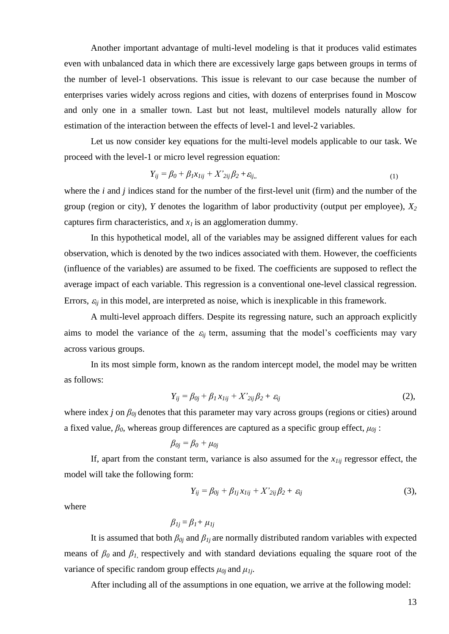Another important advantage of multi-level modeling is that it produces valid estimates even with unbalanced data in which there are excessively large gaps between groups in terms of the number of level-1 observations. This issue is relevant to our case because the number of enterprises varies widely across regions and cities, with dozens of enterprises found in Moscow and only one in a smaller town. Last but not least, multilevel models naturally allow for estimation of the interaction between the effects of level-1 and level-2 variables.

Let us now consider key equations for the multi-level models applicable to our task. We proceed with the level-1 or micro level regression equation:

$$
Y_{ij} = \beta_0 + \beta_1 x_{1ij} + X'_{2ij} \beta_2 + \varepsilon_{ij},\tag{1}
$$

where the *i* and *j* indices stand for the number of the first-level unit (firm) and the number of the group (region or city), *Y* denotes the logarithm of labor productivity (output per employee), *X<sup>2</sup>* captures firm characteristics, and *x1* is an agglomeration dummy.

In this hypothetical model, all of the variables may be assigned different values for each observation, which is denoted by the two indices associated with them. However, the coefficients (influence of the variables) are assumed to be fixed. The coefficients are supposed to reflect the average impact of each variable. This regression is a conventional one-level classical regression. Errors,  $\varepsilon_{ii}$  in this model, are interpreted as noise, which is inexplicable in this framework.

A multi-level approach differs. Despite its regressing nature, such an approach explicitly aims to model the variance of the  $\varepsilon_{ij}$  term, assuming that the model's coefficients may vary across various groups.

In its most simple form, known as the random intercept model, the model may be written as follows:

$$
Y_{ij} = \beta_{0j} + \beta_1 x_{1ij} + X'_{2ij} \beta_2 + \varepsilon_{ij}
$$
 (2),

where index *j* on *β0j* denotes that this parameter may vary across groups (regions or cities) around a fixed value,  $\beta_0$ , whereas group differences are captured as a specific group effect,  $\mu_{0j}$ :

$$
\beta_{0j}=\beta_0+\mu_{0j}
$$

If, apart from the constant term, variance is also assumed for the  $x_{1ii}$  regressor effect, the model will take the following form:

$$
Y_{ij} = \beta_{0j} + \beta_{1j}x_{1ij} + X'_{2ij}\beta_2 + \varepsilon_{ij}
$$
 (3),

where

$$
\beta_{1j} = \beta_{1} + \mu_{1j}
$$

It is assumed that both  $\beta_{0j}$  and  $\beta_{1j}$  are normally distributed random variables with expected means of *β0* and *β1*, respectively and with standard deviations equaling the square root of the variance of specific random group effects  $\mu_{0i}$  and  $\mu_{1i}$ .

After including all of the assumptions in one equation, we arrive at the following model: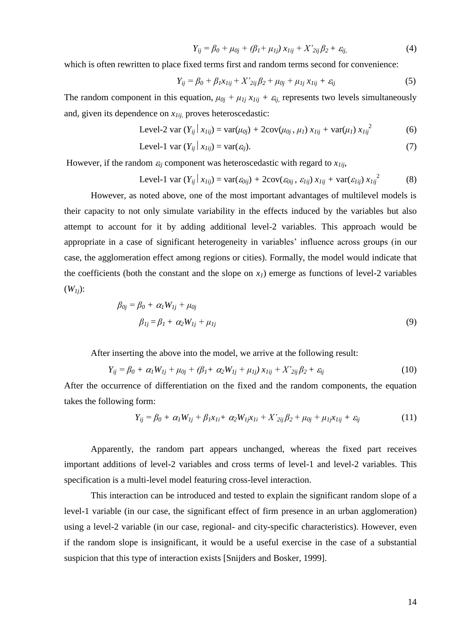$$
Y_{ij} = \beta_0 + \mu_{0j} + (\beta_1 + \mu_{1j}) x_{1ij} + X'_{2ij} \beta_2 + \varepsilon_{ij},
$$
(4)

which is often rewritten to place fixed terms first and random terms second for convenience:

$$
Y_{ij} = \beta_0 + \beta_1 x_{1ij} + X'_{2ij} \beta_2 + \mu_{0j} + \mu_{1j} x_{1ij} + \varepsilon_{ij}
$$
 (5)

The random component in this equation,  $\mu_{0i} + \mu_{1i} x_{1ii} + \varepsilon_{ii}$  represents two levels simultaneously and, given its dependence on *x1ij*, proves heteroscedastic:

Level-2 var 
$$
(Y_{ij} | x_{Iij}) = \text{var}(\mu_{0j}) + 2\text{cov}(\mu_{0j}, \mu_I) x_{Iij} + \text{var}(\mu_I) x_{Iij}^2
$$
 (6)

$$
Level-1 var (Y_{ij} | x_{Iij}) = var(\varepsilon_{ij}).
$$
\n(7)

However, if the random  $\varepsilon_{ij}$  component was heteroscedastic with regard to  $x_{1ij}$ ,

Level-1 var 
$$
(Y_{ij} | x_{Iij}) = \text{var}(\varepsilon_{0ij}) + 2\text{cov}(\varepsilon_{0ij}, \varepsilon_{Iij}) x_{Iij} + \text{var}(\varepsilon_{Iij}) x_{Iij}^2
$$
 (8)

However, as noted above, one of the most important advantages of multilevel models is their capacity to not only simulate variability in the effects induced by the variables but also attempt to account for it by adding additional level-2 variables. This approach would be appropriate in a case of significant heterogeneity in variables' influence across groups (in our case, the agglomeration effect among regions or cities). Formally, the model would indicate that the coefficients (both the constant and the slope on  $x<sub>1</sub>$ ) emerge as functions of level-2 variables  $(W_{1i})$ :

$$
\beta_{0j} = \beta_0 + \alpha_1 W_{1j} + \mu_{0j}
$$
  
\n
$$
\beta_{1j} = \beta_1 + \alpha_2 W_{1j} + \mu_{1j}
$$
\n(9)

After inserting the above into the model, we arrive at the following result:

$$
Y_{ij} = \beta_0 + \alpha_1 W_{1j} + \mu_{0j} + (\beta_1 + \alpha_2 W_{1j} + \mu_{1j}) x_{1ij} + X'_{2ij} \beta_2 + \varepsilon_{ij}
$$
(10)

After the occurrence of differentiation on the fixed and the random components, the equation takes the following form:

$$
Y_{ij} = \beta_0 + \alpha_1 W_{1j} + \beta_1 x_{1i} + \alpha_2 W_{1j} x_{1i} + X'_{2ij} \beta_2 + \mu_{0j} + \mu_{1j} x_{1ij} + \varepsilon_{ij}
$$
(11)

Apparently, the random part appears unchanged, whereas the fixed part receives important additions of level-2 variables and cross terms of level-1 and level-2 variables. This specification is a multi-level model featuring cross-level interaction.

This interaction can be introduced and tested to explain the significant random slope of a level-1 variable (in our case, the significant effect of firm presence in an urban agglomeration) using a level-2 variable (in our case, regional- and city-specific characteristics). However, even if the random slope is insignificant, it would be a useful exercise in the case of a substantial suspicion that this type of interaction exists [Snijders and Bosker, 1999].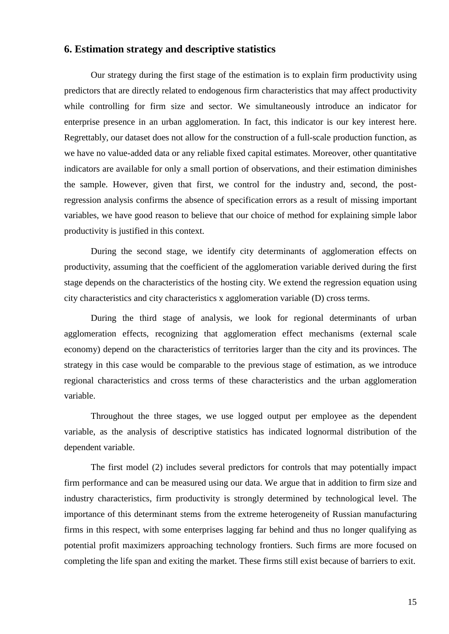#### **6. Estimation strategy and descriptive statistics**

Our strategy during the first stage of the estimation is to explain firm productivity using predictors that are directly related to endogenous firm characteristics that may affect productivity while controlling for firm size and sector. We simultaneously introduce an indicator for enterprise presence in an urban agglomeration. In fact, this indicator is our key interest here. Regrettably, our dataset does not allow for the construction of a full-scale production function, as we have no value-added data or any reliable fixed capital estimates. Moreover, other quantitative indicators are available for only a small portion of observations, and their estimation diminishes the sample. However, given that first, we control for the industry and, second, the postregression analysis confirms the absence of specification errors as a result of missing important variables, we have good reason to believe that our choice of method for explaining simple labor productivity is justified in this context.

During the second stage, we identify city determinants of agglomeration effects on productivity, assuming that the coefficient of the agglomeration variable derived during the first stage depends on the characteristics of the hosting city. We extend the regression equation using city characteristics and city characteristics x agglomeration variable (D) cross terms.

During the third stage of analysis, we look for regional determinants of urban agglomeration effects, recognizing that agglomeration effect mechanisms (external scale economy) depend on the characteristics of territories larger than the city and its provinces. The strategy in this case would be comparable to the previous stage of estimation, as we introduce regional characteristics and cross terms of these characteristics and the urban agglomeration variable.

Throughout the three stages, we use logged output per employee as the dependent variable, as the analysis of descriptive statistics has indicated lognormal distribution of the dependent variable.

The first model (2) includes several predictors for controls that may potentially impact firm performance and can be measured using our data. We argue that in addition to firm size and industry characteristics, firm productivity is strongly determined by technological level. The importance of this determinant stems from the extreme heterogeneity of Russian manufacturing firms in this respect, with some enterprises lagging far behind and thus no longer qualifying as potential profit maximizers approaching technology frontiers. Such firms are more focused on completing the life span and exiting the market. These firms still exist because of barriers to exit.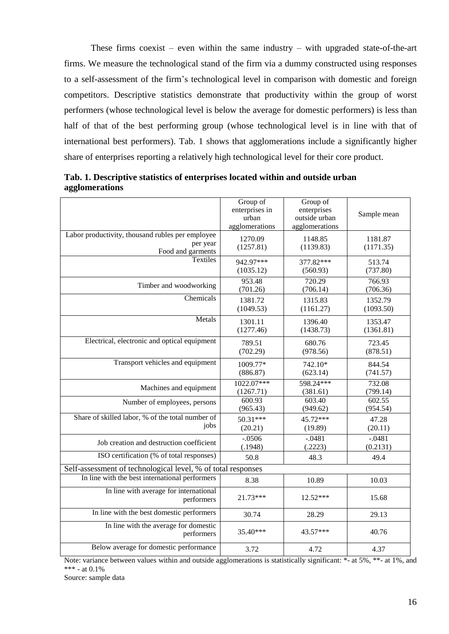These firms coexist – even within the same industry – with upgraded state-of-the-art firms. We measure the technological stand of the firm via a dummy constructed using responses to a self-assessment of the firm's technological level in comparison with domestic and foreign competitors. Descriptive statistics demonstrate that productivity within the group of worst performers (whose technological level is below the average for domestic performers) is less than half of that of the best performing group (whose technological level is in line with that of international best performers). Tab. 1 shows that agglomerations include a significantly higher share of enterprises reporting a relatively high technological level for their core product.

|                                                                                   | Group of<br>enterprises in<br>urban<br>agglomerations | Group of<br>enterprises<br>outside urban<br>agglomerations | Sample mean          |
|-----------------------------------------------------------------------------------|-------------------------------------------------------|------------------------------------------------------------|----------------------|
| Labor productivity, thousand rubles per employee<br>per year<br>Food and garments | 1270.09<br>(1257.81)                                  | 1148.85<br>(1139.83)                                       | 1181.87<br>(1171.35) |
| Textiles                                                                          | 942.97***                                             | 377.82***                                                  | 513.74               |
|                                                                                   | (1035.12)                                             | (560.93)                                                   | (737.80)             |
| Timber and woodworking                                                            | 953.48                                                | 720.29                                                     | 766.93               |
|                                                                                   | (701.26)                                              | (706.14)                                                   | (706.36)             |
| Chemicals                                                                         | 1381.72                                               | 1315.83                                                    | 1352.79              |
|                                                                                   | (1049.53)                                             | (1161.27)                                                  | (1093.50)            |
| Metals                                                                            | 1301.11                                               | 1396.40                                                    | 1353.47              |
|                                                                                   | (1277.46)                                             | (1438.73)                                                  | (1361.81)            |
| Electrical, electronic and optical equipment                                      | 789.51                                                | 680.76                                                     | 723.45               |
|                                                                                   | (702.29)                                              | (978.56)                                                   | (878.51)             |
| Transport vehicles and equipment                                                  | 1009.77*                                              | 742.10*                                                    | 844.54               |
|                                                                                   | (886.87)                                              | (623.14)                                                   | (741.57)             |
| Machines and equipment                                                            | 1022.07***                                            | 598.24***                                                  | 732.08               |
|                                                                                   | (1267.71)                                             | (381.61)                                                   | (799.14)             |
| Number of employees, persons                                                      | 600.93                                                | 603.40                                                     | 602.55               |
|                                                                                   | (965.43)                                              | (949.62)                                                   | (954.54)             |
| Share of skilled labor, % of the total number of                                  | $50.31***$                                            | 45.72***                                                   | 47.28                |
| jobs                                                                              | (20.21)                                               | (19.89)                                                    | (20.11)              |
| Job creation and destruction coefficient                                          | $-0.0506$                                             | $-0.0481$                                                  | $-0.0481$            |
|                                                                                   | (.1948)                                               | (.2223)                                                    | (0.2131)             |
| ISO certification (% of total responses)                                          | 50.8                                                  | 48.3                                                       | 49.4                 |
| Self-assessment of technological level, % of total responses                      |                                                       |                                                            |                      |
| In line with the best international performers                                    | 8.38                                                  | 10.89                                                      | 10.03                |
| In line with average for international<br>performers                              | 21.73***                                              | $12.52***$                                                 | 15.68                |
| In line with the best domestic performers                                         | 30.74                                                 | 28.29                                                      | 29.13                |
| In line with the average for domestic<br>performers                               | $35.40***$                                            | 43.57***                                                   | 40.76                |
| Below average for domestic performance                                            | 3.72                                                  | 4.72                                                       | 4.37                 |

**Tab. 1. Descriptive statistics of enterprises located within and outside urban agglomerations**

Note: variance between values within and outside agglomerations is statistically significant: \*- at 5%, \*\*- at 1%, and \*\*\* - at  $0.1\%$ 

Source: sample data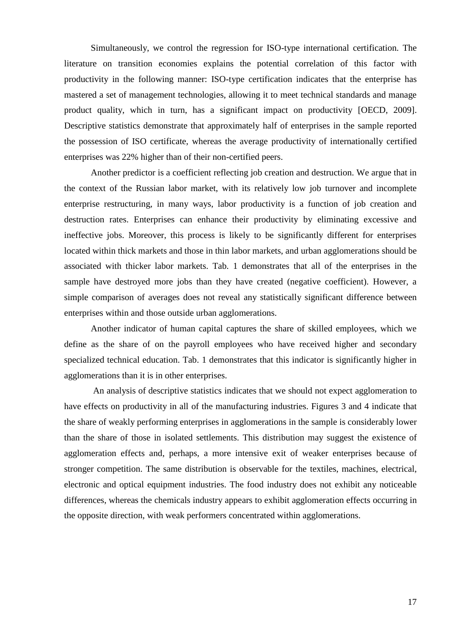Simultaneously, we control the regression for ISO-type international certification. The literature on transition economies explains the potential correlation of this factor with productivity in the following manner: ISO-type certification indicates that the enterprise has mastered a set of management technologies, allowing it to meet technical standards and manage product quality, which in turn, has a significant impact on productivity [OECD, 2009]. Descriptive statistics demonstrate that approximately half of enterprises in the sample reported the possession of ISO certificate, whereas the average productivity of internationally certified enterprises was 22% higher than of their non-certified peers.

Another predictor is a coefficient reflecting job creation and destruction. We argue that in the context of the Russian labor market, with its relatively low job turnover and incomplete enterprise restructuring, in many ways, labor productivity is a function of job creation and destruction rates. Enterprises can enhance their productivity by eliminating excessive and ineffective jobs. Moreover, this process is likely to be significantly different for enterprises located within thick markets and those in thin labor markets, and urban agglomerations should be associated with thicker labor markets. Tab. 1 demonstrates that all of the enterprises in the sample have destroyed more jobs than they have created (negative coefficient). However, a simple comparison of averages does not reveal any statistically significant difference between enterprises within and those outside urban agglomerations.

Another indicator of human capital captures the share of skilled employees, which we define as the share of on the payroll employees who have received higher and secondary specialized technical education. Tab. 1 demonstrates that this indicator is significantly higher in agglomerations than it is in other enterprises.

An analysis of descriptive statistics indicates that we should not expect agglomeration to have effects on productivity in all of the manufacturing industries. Figures 3 and 4 indicate that the share of weakly performing enterprises in agglomerations in the sample is considerably lower than the share of those in isolated settlements. This distribution may suggest the existence of agglomeration effects and, perhaps, a more intensive exit of weaker enterprises because of stronger competition. The same distribution is observable for the textiles, machines, electrical, electronic and optical equipment industries. The food industry does not exhibit any noticeable differences, whereas the chemicals industry appears to exhibit agglomeration effects occurring in the opposite direction, with weak performers concentrated within agglomerations.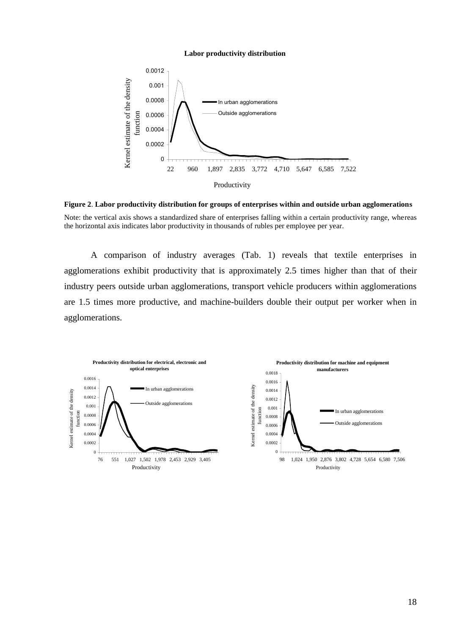#### **Labor productivity distribution**



**Figure 2**. **Labor productivity distribution for groups of enterprises within and outside urban agglomerations** Note: the vertical axis shows a standardized share of enterprises falling within a certain productivity range, whereas the horizontal axis indicates labor productivity in thousands of rubles per employee per year.

A comparison of industry averages (Tab. 1) reveals that textile enterprises in agglomerations exhibit productivity that is approximately 2.5 times higher than that of their industry peers outside urban agglomerations, transport vehicle producers within agglomerations are 1.5 times more productive, and machine-builders double their output per worker when in agglomerations.

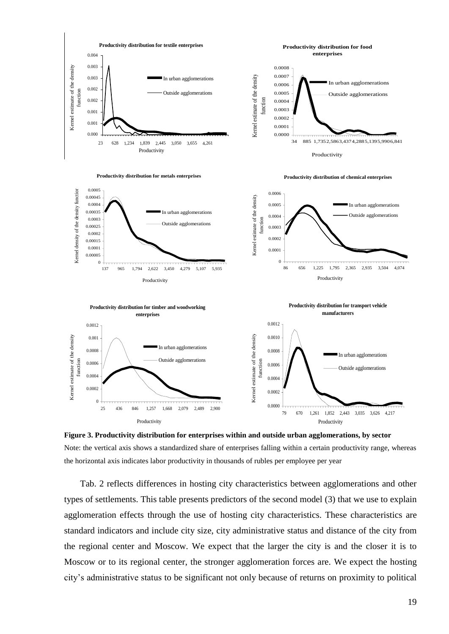

**Figure 3. Productivity distribution for enterprises within and outside urban agglomerations, by sector** Note: the vertical axis shows a standardized share of enterprises falling within a certain productivity range, whereas the horizontal axis indicates labor productivity in thousands of rubles per employee per year

Tab. 2 reflects differences in hosting city characteristics between agglomerations and other types of settlements. This table presents predictors of the second model (3) that we use to explain agglomeration effects through the use of hosting city characteristics. These characteristics are standard indicators and include city size, city administrative status and distance of the city from the regional center and Moscow. We expect that the larger the city is and the closer it is to Moscow or to its regional center, the stronger agglomeration forces are. We expect the hosting city's administrative status to be significant not only because of returns on proximity to political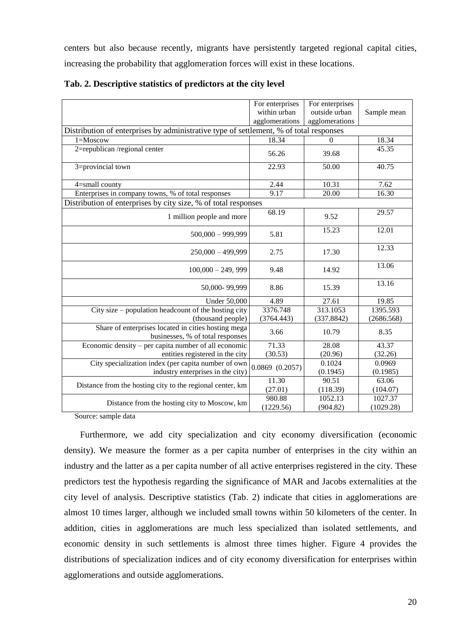centers but also because recently, migrants have persistently targeted regional capital cities, increasing the probability that agglomeration forces will exist in these locations.

|                                                                                         | For enterprises                                                                        | For enterprises |             |  |  |  |  |
|-----------------------------------------------------------------------------------------|----------------------------------------------------------------------------------------|-----------------|-------------|--|--|--|--|
|                                                                                         | within urban                                                                           | outside urban   | Sample mean |  |  |  |  |
|                                                                                         | agglomerations                                                                         | agglomerations  |             |  |  |  |  |
|                                                                                         | Distribution of enterprises by administrative type of settlement, % of total responses |                 |             |  |  |  |  |
| $1 =$ Moscow                                                                            | 18.34                                                                                  | $\Omega$        | 18.34       |  |  |  |  |
| 2=republican/regional center                                                            | 56.26                                                                                  | 39.68           | 45.35       |  |  |  |  |
| 3=provincial town                                                                       | 22.93                                                                                  | 50.00           | 40.75       |  |  |  |  |
| 4=small county                                                                          | 2.44                                                                                   | 10.31           | 7.62        |  |  |  |  |
| Enterprises in company towns, % of total responses                                      | 9.17                                                                                   | 20.00           | 16.30       |  |  |  |  |
| Distribution of enterprises by city size, % of total responses                          |                                                                                        |                 |             |  |  |  |  |
| 1 million people and more                                                               | 68.19                                                                                  | 9.52            | 29.57       |  |  |  |  |
| $500,000 - 999,999$                                                                     | 5.81                                                                                   | 15.23           | 12.01       |  |  |  |  |
| $250,000 - 499,999$                                                                     | 2.75                                                                                   | 17.30           | 12.33       |  |  |  |  |
| $100,000 - 249,999$                                                                     | 9.48                                                                                   | 14.92           | 13.06       |  |  |  |  |
| 50,000-99,999                                                                           | 8.86                                                                                   | 15.39           | 13.16       |  |  |  |  |
| <b>Under 50,000</b>                                                                     | 4.89                                                                                   | 27.61           | 19.85       |  |  |  |  |
| City size $-$ population headcount of the hosting city                                  | 3376.748                                                                               | 313.1053        | 1395.593    |  |  |  |  |
| (thousand people)                                                                       | (3764.443)                                                                             | (337.8842)      | (2686.568)  |  |  |  |  |
| Share of enterprises located in cities hosting mega<br>businesses, % of total responses | 3.66                                                                                   | 10.79           | 8.35        |  |  |  |  |
| Economic density – per capita number of all economic                                    | 71.33                                                                                  | 28.08           | 43.37       |  |  |  |  |
| entities registered in the city                                                         | (30.53)                                                                                | (20.96)         | (32.26)     |  |  |  |  |
| City specialization index (per capita number of own                                     | $0.0869$ $(0.2057)$                                                                    | 0.1024          | 0.0969      |  |  |  |  |
| industry enterprises in the city)                                                       |                                                                                        | (0.1945)        | (0.1985)    |  |  |  |  |
| Distance from the hosting city to the regional center, km                               | 11.30                                                                                  | 90.51           | 63.06       |  |  |  |  |
|                                                                                         | (27.01)                                                                                | (118.39)        | (104.07)    |  |  |  |  |
| Distance from the hosting city to Moscow, km                                            | 980.88                                                                                 | 1052.13         | 1027.37     |  |  |  |  |
| $\sim$                                                                                  | (1229.56)                                                                              | (904.82)        | (1029.28)   |  |  |  |  |

**Tab. 2. Descriptive statistics of predictors at the city level** 

Source: sample data

Furthermore, we add city specialization and city economy diversification (economic density). We measure the former as a per capita number of enterprises in the city within an industry and the latter as a per capita number of all active enterprises registered in the city. These predictors test the hypothesis regarding the significance of MAR and Jacobs externalities at the city level of analysis. Descriptive statistics (Tab. 2) indicate that cities in agglomerations are almost 10 times larger, although we included small towns within 50 kilometers of the center. In addition, cities in agglomerations are much less specialized than isolated settlements, and economic density in such settlements is almost three times higher. Figure 4 provides the distributions of specialization indices and of city economy diversification for enterprises within agglomerations and outside agglomerations.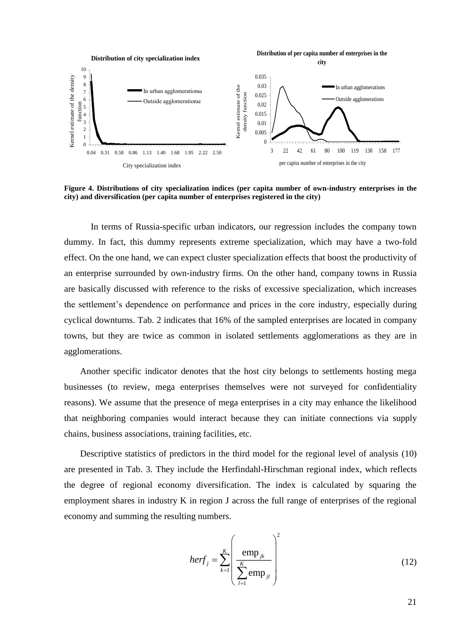

**Figure 4. Distributions of city specialization indices (per capita number of own-industry enterprises in the city) and diversification (per capita number of enterprises registered in the city)**

In terms of Russia-specific urban indicators, our regression includes the company town dummy. In fact, this dummy represents extreme specialization, which may have a two-fold effect. On the one hand, we can expect cluster specialization effects that boost the productivity of an enterprise surrounded by own-industry firms. On the other hand, company towns in Russia are basically discussed with reference to the risks of excessive specialization, which increases the settlement's dependence on performance and prices in the core industry, especially during cyclical downturns. Tab. 2 indicates that 16% of the sampled enterprises are located in company towns, but they are twice as common in isolated settlements agglomerations as they are in agglomerations.

Another specific indicator denotes that the host city belongs to settlements hosting mega businesses (to review, mega enterprises themselves were not surveyed for confidentiality reasons). We assume that the presence of mega enterprises in a city may enhance the likelihood that neighboring companies would interact because they can initiate connections via supply chains, business associations, training facilities, etc.

Descriptive statistics of predictors in the third model for the regional level of analysis (10) are presented in Tab. 3. They include the Herfindahl-Hirschman regional index, which reflects the degree of regional economy diversification. The index is calculated by squaring the employment shares in industry K in region J across the full range of enterprises of the regional economy and summing the resulting numbers.

$$
herf_j = \sum_{k=1}^{K} \left( \frac{\text{emp}_{jk}}{\sum_{l=1}^{K} \text{emp}_{jl}} \right)^2
$$
 (12)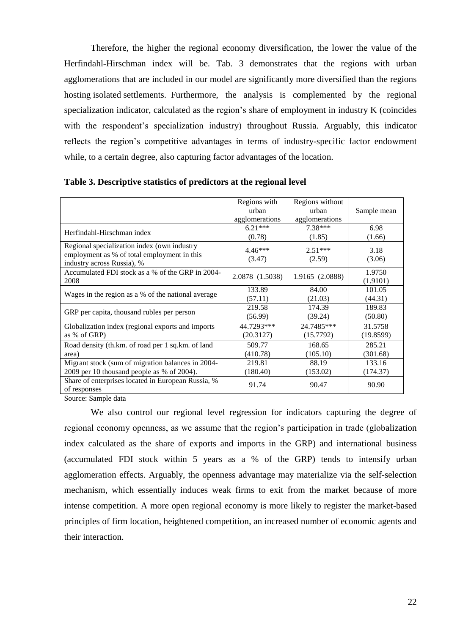Therefore, the higher the regional economy diversification, the lower the value of the Herfindahl-Hirschman index will be. Tab. 3 demonstrates that the regions with urban agglomerations that are included in our model are significantly more diversified than the regions hosting isolated settlements. Furthermore, the analysis is complemented by the regional specialization indicator, calculated as the region's share of employment in industry K (coincides with the respondent's specialization industry) throughout Russia. Arguably, this indicator reflects the region's competitive advantages in terms of industry-specific factor endowment while, to a certain degree, also capturing factor advantages of the location.

|                                                                                                                          | Regions with<br>urban<br>agglomerations | Regions without<br>urban<br>agglomerations | Sample mean        |
|--------------------------------------------------------------------------------------------------------------------------|-----------------------------------------|--------------------------------------------|--------------------|
| Herfindahl-Hirschman index                                                                                               | $6.21***$                               | 7.38***                                    | 6.98               |
|                                                                                                                          | (0.78)                                  | (1.85)                                     | (1.66)             |
| Regional specialization index (own industry<br>employment as % of total employment in this<br>industry across Russia), % | $4.46***$<br>(3.47)                     | $2.51***$<br>(2.59)                        | 3.18<br>(3.06)     |
| Accumulated FDI stock as a % of the GRP in 2004-<br>2008                                                                 | 2.0878 (1.5038)                         | 1.9165 (2.0888)                            | 1.9750<br>(1.9101) |
| Wages in the region as a % of the national average                                                                       | 133.89                                  | 84.00                                      | 101.05             |
|                                                                                                                          | (57.11)                                 | (21.03)                                    | (44.31)            |
| GRP per capita, thousand rubles per person                                                                               | 219.58                                  | 174.39                                     | 189.83             |
|                                                                                                                          | (56.99)                                 | (39.24)                                    | (50.80)            |
| Globalization index (regional exports and imports                                                                        | 44.7293***                              | 24.7485***                                 | 31.5758            |
| as % of GRP)                                                                                                             | (20.3127)                               | (15.7792)                                  | (19.8599)          |
| Road density (th.km. of road per 1 sq.km. of land                                                                        | 509.77                                  | 168.65                                     | 285.21             |
| area)                                                                                                                    | (410.78)                                | (105.10)                                   | (301.68)           |
| Migrant stock (sum of migration balances in 2004-                                                                        | 219.81                                  | 88.19                                      | 133.16             |
| 2009 per 10 thousand people as % of 2004).                                                                               | (180.40)                                | (153.02)                                   | (174.37)           |
| Share of enterprises located in European Russia, %<br>of responses                                                       | 91.74                                   | 90.47                                      | 90.90              |

**Table 3. Descriptive statistics of predictors at the regional level**

Source: Sample data

We also control our regional level regression for indicators capturing the degree of regional economy openness, as we assume that the region's participation in trade (globalization index calculated as the share of exports and imports in the GRP) and international business (accumulated FDI stock within 5 years as a % of the GRP) tends to intensify urban agglomeration effects. Arguably, the openness advantage may materialize via the self-selection mechanism, which essentially induces weak firms to exit from the market because of more intense competition. A more open regional economy is more likely to register the market-based principles of firm location, heightened competition, an increased number of economic agents and their interaction.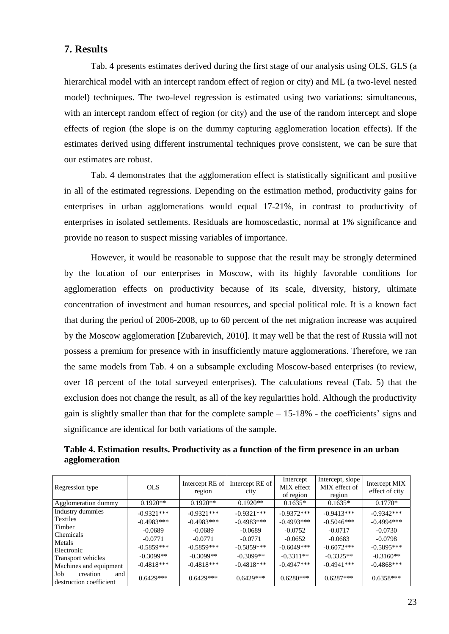#### **7. Results**

Tab. 4 presents estimates derived during the first stage of our analysis using OLS, GLS (a hierarchical model with an intercept random effect of region or city) and ML (a two-level nested model) techniques. The two-level regression is estimated using two variations: simultaneous, with an intercept random effect of region (or city) and the use of the random intercept and slope effects of region (the slope is on the dummy capturing agglomeration location effects). If the estimates derived using different instrumental techniques prove consistent, we can be sure that our estimates are robust.

Tab. 4 demonstrates that the agglomeration effect is statistically significant and positive in all of the estimated regressions. Depending on the estimation method, productivity gains for enterprises in urban agglomerations would equal 17-21%, in contrast to productivity of enterprises in isolated settlements. Residuals are homoscedastic, normal at 1% significance and provide no reason to suspect missing variables of importance.

However, it would be reasonable to suppose that the result may be strongly determined by the location of our enterprises in Moscow, with its highly favorable conditions for agglomeration effects on productivity because of its scale, diversity, history, ultimate concentration of investment and human resources, and special political role. It is a known fact that during the period of 2006-2008, up to 60 percent of the net migration increase was acquired by the Moscow agglomeration [Zubarevich, 2010]. It may well be that the rest of Russia will not possess a premium for presence with in insufficiently mature agglomerations. Therefore, we ran the same models from Tab. 4 on a subsample excluding Moscow-based enterprises (to review, over 18 percent of the total surveyed enterprises). The calculations reveal (Tab. 5) that the exclusion does not change the result, as all of the key regularities hold. Although the productivity gain is slightly smaller than that for the complete sample – 15-18% - the coefficients' signs and significance are identical for both variations of the sample.

**Table 4. Estimation results. Productivity as a function of the firm presence in an urban agglomeration**

| Regression type                                   | <b>OLS</b>   | Intercept RE of<br>region | Intercept RE of<br>city | Intercept<br>MIX effect<br>of region | Intercept, slope<br>MIX effect of<br>region | Intercept MIX<br>effect of city |
|---------------------------------------------------|--------------|---------------------------|-------------------------|--------------------------------------|---------------------------------------------|---------------------------------|
| Agglomeration dummy                               | $0.1920**$   | $0.1920**$                | $0.1920**$              | $0.1635*$                            | $0.1635*$                                   | $0.1770*$                       |
| Industry dummies                                  | $-0.9321***$ | $-0.9321***$              | $-0.9321***$            | $-0.9372***$                         | $-0.9413***$                                | $-0.9342***$                    |
| Textiles                                          | $-0.4983***$ | $-0.4983***$              | $-0.4983***$            | $-0.4993***$                         | $-0.5046***$                                | $-0.4994***$                    |
| Timber<br><b>Chemicals</b>                        | $-0.0689$    | $-0.0689$                 | $-0.0689$               | $-0.0752$                            | $-0.0717$                                   | $-0.0730$                       |
| Metals                                            | $-0.0771$    | $-0.0771$                 | $-0.0771$               | $-0.0652$                            | $-0.0683$                                   | $-0.0798$                       |
| Electronic                                        | $-0.5859***$ | $-0.5859***$              | $-0.5859***$            | $-0.6049***$                         | $-0.6072***$                                | $-0.5895***$                    |
| Transport vehicles                                | $-0.3099**$  | $-0.3099**$               | $-0.3099**$             | $-0.3311**$                          | $-0.3325**$                                 | $-0.3160**$                     |
| Machines and equipment                            | $-0.4818***$ | $-0.4818***$              | $-0.4818***$            | $-0.4947***$                         | $-0.4941$ ***                               | $-0.4868***$                    |
| Job<br>creation<br>and<br>destruction coefficient | $0.6429***$  | $0.6429***$               | $0.6429***$             | $0.6280***$                          | $0.6287***$                                 | $0.6358***$                     |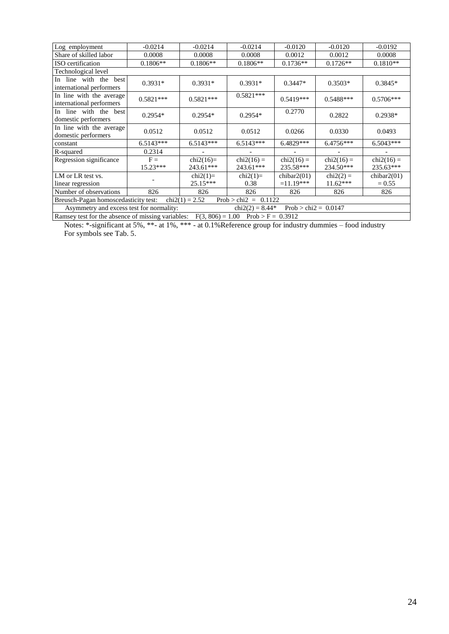| Log employment                                                                          | $-0.0214$   | $-0.0214$   | $-0.0214$    | $-0.0120$      | $-0.0120$    | $-0.0192$      |
|-----------------------------------------------------------------------------------------|-------------|-------------|--------------|----------------|--------------|----------------|
| Share of skilled labor                                                                  | 0.0008      | 0.0008      | 0.0008       | 0.0012         | 0.0012       | 0.0008         |
| ISO certification                                                                       | $0.1806**$  | $0.1806**$  | $0.1806**$   | $0.1736**$     | $0.1726**$   | $0.1810**$     |
| Technological level                                                                     |             |             |              |                |              |                |
| In line with the<br>best<br>international performers                                    | $0.3931*$   | $0.3931*$   | $0.3931*$    | $0.3447*$      | $0.3503*$    | $0.3845*$      |
| In line with the average<br>international performers                                    | $0.5821***$ | $0.5821***$ | $0.5821***$  | $0.5419***$    | $0.5488***$  | $0.5706***$    |
| In line with the best<br>domestic performers                                            | $0.2954*$   | $0.2954*$   | $0.2954*$    | 0.2770         | 0.2822       | $0.2938*$      |
| In line with the average<br>domestic performers                                         | 0.0512      | 0.0512      | 0.0512       | 0.0266         | 0.0330       | 0.0493         |
| constant                                                                                | $6.5143***$ | $6.5143***$ | $6.5143***$  | 6.4829***      | 6.4756***    | $6.5043***$    |
| R-squared                                                                               | 0.2314      |             |              |                |              |                |
| Regression significance                                                                 | $F =$       | $chi2(16)=$ | $chi2(16) =$ | $chi2(16) =$   | $chi2(16) =$ | $chi2(16) =$   |
|                                                                                         | $15.23***$  | 243.61***   | 243.61***    | 235.58***      | 234.50***    | 235.63***      |
| LM or LR test vs.                                                                       |             | $chi2(1)=$  | $chi2(1)=$   | chibar $2(01)$ | $chi2(2) =$  | chibar $2(01)$ |
| linear regression                                                                       |             | 25.15***    | 0.38         | $=11.19***$    | $11.62***$   | $= 0.55$       |
| Number of observations                                                                  | 826         | 826         | 826          | 826            | 826          | 826            |
| Breusch-Pagan homoscedasticity test:<br>$chi2(1) = 2.52$<br>$Prob > chi2 =$<br>0.1122   |             |             |              |                |              |                |
| Prob > chi2 = $0.0147$<br>Asymmetry and excess test for normality:<br>$chi2(2) = 8.44*$ |             |             |              |                |              |                |
| Ramsey test for the absence of missing variables: $F(3, 806) = 1.00$ Prob > F = 0.3912  |             |             |              |                |              |                |

Notes: \*-significant at 5%, \*\*- at 1%, \*\*\* - at 0.1%Reference group for industry dummies – food industry For symbols see Tab. 5.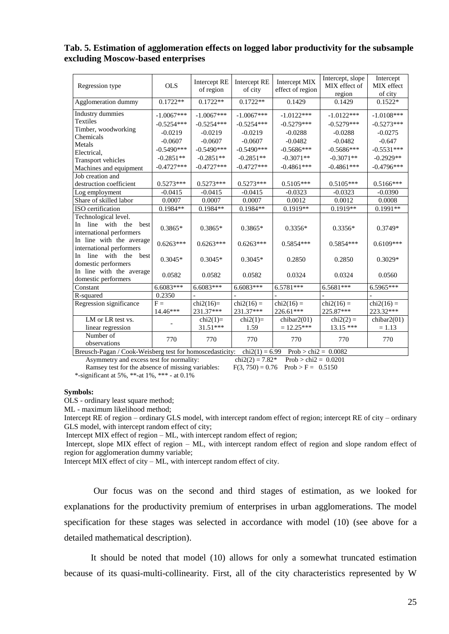#### **Tab. 5. Estimation of agglomeration effects on logged labor productivity for the subsample excluding Moscow-based enterprises**

| Regression type                                               | <b>OLS</b>              | Intercept RE<br>of region | Intercept RE<br>of city | Intercept MIX<br>effect of region | Intercept, slope<br>MIX effect of<br>region | Intercept<br>MIX effect<br>of city |
|---------------------------------------------------------------|-------------------------|---------------------------|-------------------------|-----------------------------------|---------------------------------------------|------------------------------------|
| Agglomeration dummy                                           | $0.1722**$              | $0.1722**$                | $0.1722**$              | 0.1429                            | 0.1429                                      | $0.1522*$                          |
| Industry dummies                                              | $-1.0067***$            | $-1.0067***$              | $-1.0067***$            | $-1.0122***$                      | $-1.0122***$                                | $-1.0108***$                       |
| Textiles                                                      | $-0.5254***$            | $-0.5254***$              | $-0.5254***$            | $-0.5279***$                      | $-0.5279***$                                | $-0.5273***$                       |
| Timber, woodworking                                           | $-0.0219$               | $-0.0219$                 | $-0.0219$               | $-0.0288$                         | $-0.0288$                                   | $-0.0275$                          |
| Chemicals                                                     | $-0.0607$               | $-0.0607$                 | $-0.0607$               | $-0.0482$                         | $-0.0482$                                   | $-0.647$                           |
| Metals                                                        | $-0.5490***$            | $-0.5490***$              | $-0.5490***$            | $-0.5686***$                      | $-0.5686***$                                | $-0.5531***$                       |
| Electrical,                                                   | $-0.2851**$             | $-0.2851**$               | $-0.2851**$             | $-0.3071**$                       | $-0.3071**$                                 | $-0.2929**$                        |
| <b>Transport vehicles</b>                                     | $-0.4727***$            | $-0.4727***$              | $-0.4727***$            | $-0.4861***$                      | $-0.4861***$                                | $-0.4796***$                       |
| Machines and equipment                                        |                         |                           |                         |                                   |                                             |                                    |
| Job creation and                                              |                         |                           |                         |                                   |                                             |                                    |
| destruction coefficient                                       | $0.5273***$             | $0.5273***$               | $0.5273***$             | $0.5105***$                       | $0.5105***$                                 | $0.5166***$                        |
| Log employment                                                | $-0.0415$               | $-0.0415$                 | $-0.0415$               | $-0.0323$                         | $-0.0323$                                   | $-0.0390$                          |
| Share of skilled labor                                        | 0.0007                  | 0.0007                    | 0.0007                  | 0.0012                            | 0.0012                                      | 0.0008                             |
| ISO certification                                             | $0.1984**$              | $0.1984**$                | $0.1984**$              | $0.1919**$                        | $0.1919**$                                  | $0.1991**$                         |
| Technological level.                                          |                         |                           |                         |                                   |                                             |                                    |
| line with the<br>In<br>best                                   | $0.3865*$               | $0.3865*$                 | $0.3865*$               | $0.3356*$                         | $0.3356*$                                   | $0.3749*$                          |
| international performers                                      |                         |                           |                         |                                   |                                             |                                    |
| In line with the average                                      | $0.6263***$             | $0.6263***$               | $0.6263***$             | $0.5854***$                       | $0.5854***$                                 | $0.6109***$                        |
| international performers                                      |                         |                           |                         |                                   |                                             |                                    |
| line with the<br>In<br>best                                   | $0.3045*$               | $0.3045*$                 | $0.3045*$               | 0.2850                            | 0.2850                                      | $0.3029*$                          |
| domestic performers                                           |                         |                           |                         |                                   |                                             |                                    |
| In line with the average                                      | 0.0582                  | 0.0582                    | 0.0582                  | 0.0324                            | 0.0324                                      | 0.0560                             |
| domestic performers                                           |                         |                           |                         |                                   |                                             |                                    |
| Constant                                                      | 6.6083***               | 6.6083***                 | 6.6083***               | $6.5781***$                       | 6.5681***                                   | 6.5965***                          |
| R-squared                                                     | 0.2350                  |                           |                         |                                   |                                             |                                    |
| Regression significance                                       | $F =$                   | $chi2(16)=$               | $chi2(16) =$            | $chi2(16) =$                      | $chi2(16) =$                                | $chi2(16) =$                       |
|                                                               | 14.46***                | 231.37***                 | 231.37***               | 226.61***                         | 225.87***                                   | 223.32***                          |
| LM or LR test vs.                                             |                         | $chi2(1)=$                | $chi2(1)=$              | chibar $2(01)$                    | $chi2(2) =$                                 | chibar2(01)                        |
| linear regression                                             |                         | 31.51***                  | 1.59                    | $= 12.25***$                      | $13.15***$                                  | $= 1.13$                           |
| Number of                                                     | 770                     | 770                       | 770                     | 770                               | 770                                         | 770                                |
| observations<br>$(0.11)$ W/-1-1<br>$D_{\text{max}}$<br>$-1.7$ | $ +$ $ +$ $+$ $  +$ $-$ | المستفات فتتسام المالي    | $-1.32(1)$              | $(0.00, 0.1)$ $(1.00, 0.1)$       | 0.0002                                      |                                    |

Breusch-Pagan / Cook-Weisberg test for homoscedasticity: chi2(1) = 6.99 Prob > chi2 = 0.0082<br>Asymmetry and excess test for normality: chi2(2) = 7.82\* Prob > chi2 = 0.0201

Asymmetry and excess test for normality: chi2(2) = 7.82\* Prob > chi2 = 0.02<br>Ramsey test for the absence of missing variables:  $F(3, 750) = 0.76$  Prob > F = 0.5150 Ramsey test for the absence of missing variables:

\*-significant at 5%, \*\*-at 1%, \*\*\* - at  $0.1\%$ 

#### **Symbols:**

OLS - ordinary least square method;

ML - maximum likelihood method;

Intercept RE of region – ordinary GLS model, with intercept random effect of region; intercept RE of city – ordinary GLS model, with intercept random effect of city;

Intercept MIX effect of region – ML, with intercept random effect of region;

Intercept, slope MIX effect of region – ML, with intercept random effect of region and slope random effect of region for agglomeration dummy variable;

Intercept MIX effect of city – ML, with intercept random effect of city.

Our focus was on the second and third stages of estimation, as we looked for explanations for the productivity premium of enterprises in urban agglomerations. The model specification for these stages was selected in accordance with model (10) (see above for a detailed mathematical description).

It should be noted that model (10) allows for only a somewhat truncated estimation because of its quasi-multi-collinearity. First, all of the city characteristics represented by W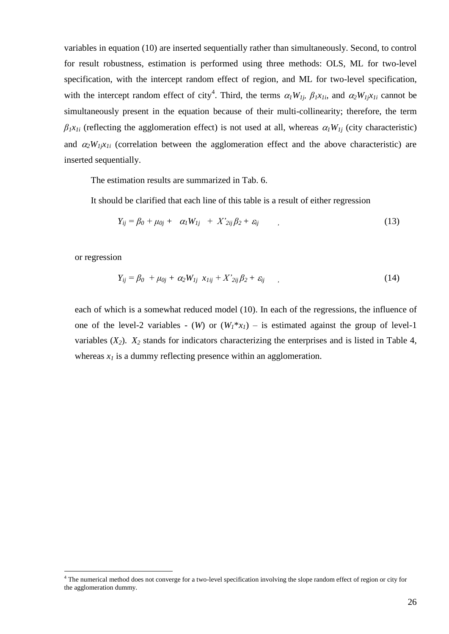variables in equation (10) are inserted sequentially rather than simultaneously. Second, to control for result robustness, estimation is performed using three methods: OLS, ML for two-level specification, with the intercept random effect of region, and ML for two-level specification, with the intercept random effect of city<sup>4</sup>. Third, the terms  $\alpha_l W_{1j}$ ,  $\beta_l x_{1i}$ , and  $\alpha_2 W_{1j} x_{1i}$  cannot be simultaneously present in the equation because of their multi-collinearity; therefore, the term  $\beta_1 x_{1i}$  (reflecting the agglomeration effect) is not used at all, whereas  $\alpha_1 W_{1i}$  (city characteristic) and  $\alpha_2 W_{I} \dot{\varkappa}_{Ii}$  (correlation between the agglomeration effect and the above characteristic) are inserted sequentially.

The estimation results are summarized in Tab. 6.

It should be clarified that each line of this table is a result of either regression

$$
Y_{ij} = \beta_0 + \mu_{0j} + \alpha_1 W_{1j} + X'_{2ij} \beta_2 + \varepsilon_{ij} \tag{13}
$$

or regression

<u>.</u>

$$
Y_{ij} = \beta_0 + \mu_{0j} + \alpha_2 W_{1j} \ x_{1ij} + X'_{2ij} \beta_2 + \varepsilon_{ij} \qquad (14)
$$

each of which is a somewhat reduced model (10). In each of the regressions, the influence of one of the level-2 variables - (*W*) or  $(W_1 * x_1)$  – is estimated against the group of level-1 variables  $(X_2)$ .  $X_2$  stands for indicators characterizing the enterprises and is listed in Table 4, whereas  $x_I$  is a dummy reflecting presence within an agglomeration.

<sup>4</sup> The numerical method does not converge for a two-level specification involving the slope random effect of region or city for the agglomeration dummy.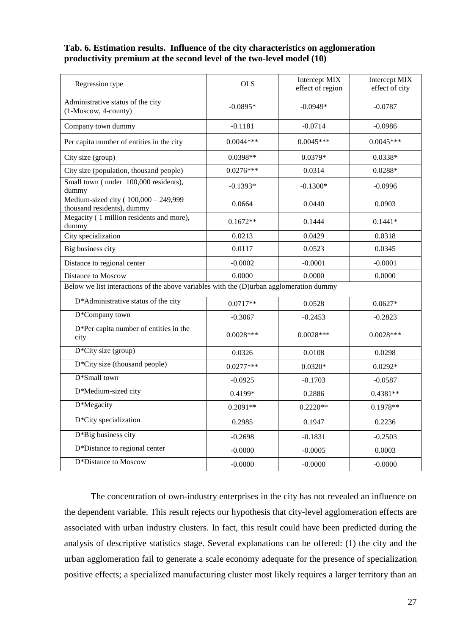#### **Tab. 6. Estimation results. Influence of the city characteristics on agglomeration productivity premium at the second level of the two-level model (10)**

| Regression type                                                                         | <b>OLS</b>  | Intercept MIX<br>effect of region | Intercept MIX<br>effect of city |  |  |  |  |
|-----------------------------------------------------------------------------------------|-------------|-----------------------------------|---------------------------------|--|--|--|--|
| Administrative status of the city<br>(1-Moscow, 4-county)                               | $-0.0895*$  | $-0.0949*$                        | $-0.0787$                       |  |  |  |  |
| Company town dummy                                                                      | $-0.1181$   | $-0.0714$                         | $-0.0986$                       |  |  |  |  |
| Per capita number of entities in the city                                               | $0.0044***$ | $0.0045***$                       | $0.0045***$                     |  |  |  |  |
| City size (group)                                                                       | $0.0398**$  | $0.0379*$                         | $0.0338*$                       |  |  |  |  |
| City size (population, thousand people)                                                 | $0.0276***$ | 0.0314                            | $0.0288*$                       |  |  |  |  |
| Small town (under 100,000 residents),<br>dummy                                          | $-0.1393*$  | $-0.1300*$                        | $-0.0996$                       |  |  |  |  |
| Medium-sized city (100,000 - 249,999<br>thousand residents), dummy                      | 0.0664      | 0.0440                            | 0.0903                          |  |  |  |  |
| Megacity (1 million residents and more),<br>dummy                                       | $0.1672**$  | 0.1444                            | $0.1441*$                       |  |  |  |  |
| City specialization                                                                     | 0.0213      | 0.0429                            | 0.0318                          |  |  |  |  |
| Big business city                                                                       | 0.0117      | 0.0523                            | 0.0345                          |  |  |  |  |
| Distance to regional center                                                             | $-0.0002$   | $-0.0001$                         | $-0.0001$                       |  |  |  |  |
| Distance to Moscow                                                                      | 0.0000      | 0.0000                            | 0.0000                          |  |  |  |  |
| Below we list interactions of the above variables with the (D)urban agglomeration dummy |             |                                   |                                 |  |  |  |  |
| D*Administrative status of the city                                                     | $0.0717**$  | 0.0528                            | $0.0627*$                       |  |  |  |  |
| D*Company town                                                                          | $-0.3067$   | $-0.2453$                         | $-0.2823$                       |  |  |  |  |
| D*Per capita number of entities in the<br>city                                          | $0.0028***$ | $0.0028***$                       | $0.0028***$                     |  |  |  |  |
| D*City size (group)                                                                     | 0.0326      | 0.0108                            | 0.0298                          |  |  |  |  |
| $D*City$ size (thousand people)                                                         | $0.0277***$ | $0.0320*$                         | $0.0292*$                       |  |  |  |  |
| D*Small town                                                                            | $-0.0925$   | $-0.1703$                         | $-0.0587$                       |  |  |  |  |
| D*Medium-sized city                                                                     | 0.4199*     | 0.2886                            | $0.4381**$                      |  |  |  |  |
| D*Megacity                                                                              | $0.2091**$  | $0.2220**$                        | $0.1978**$                      |  |  |  |  |
| D*City specialization                                                                   | 0.2985      | 0.1947                            | 0.2236                          |  |  |  |  |
| D*Big business city                                                                     | $-0.2698$   | $-0.1831$                         | $-0.2503$                       |  |  |  |  |
| D*Distance to regional center                                                           | $-0.0000$   | $-0.0005$                         | 0.0003                          |  |  |  |  |
| D*Distance to Moscow                                                                    | $-0.0000$   | $-0.0000$                         | $-0.0000$                       |  |  |  |  |

The concentration of own-industry enterprises in the city has not revealed an influence on the dependent variable. This result rejects our hypothesis that city-level agglomeration effects are associated with urban industry clusters. In fact, this result could have been predicted during the analysis of descriptive statistics stage. Several explanations can be offered: (1) the city and the urban agglomeration fail to generate a scale economy adequate for the presence of specialization positive effects; a specialized manufacturing cluster most likely requires a larger territory than an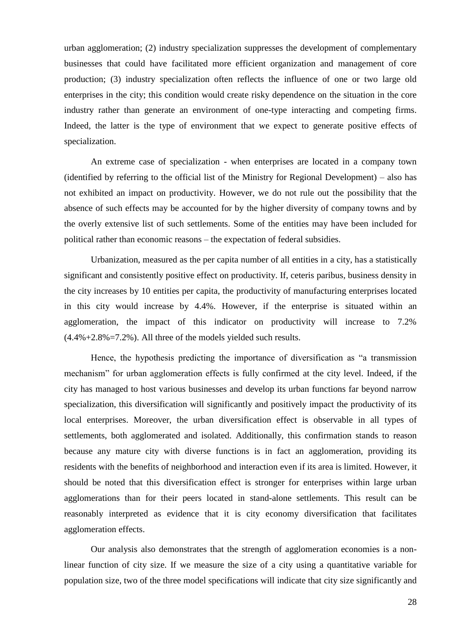urban agglomeration; (2) industry specialization suppresses the development of complementary businesses that could have facilitated more efficient organization and management of core production; (3) industry specialization often reflects the influence of one or two large old enterprises in the city; this condition would create risky dependence on the situation in the core industry rather than generate an environment of one-type interacting and competing firms. Indeed, the latter is the type of environment that we expect to generate positive effects of specialization.

An extreme case of specialization - when enterprises are located in a company town (identified by referring to the official list of the Ministry for Regional Development) – also has not exhibited an impact on productivity. However, we do not rule out the possibility that the absence of such effects may be accounted for by the higher diversity of company towns and by the overly extensive list of such settlements. Some of the entities may have been included for political rather than economic reasons – the expectation of federal subsidies.

Urbanization, measured as the per capita number of all entities in a city, has a statistically significant and consistently positive effect on productivity. If, ceteris paribus, business density in the city increases by 10 entities per capita, the productivity of manufacturing enterprises located in this city would increase by 4.4%. However, if the enterprise is situated within an agglomeration, the impact of this indicator on productivity will increase to 7.2%  $(4.4\% + 2.8\% = 7.2\%)$ . All three of the models yielded such results.

Hence, the hypothesis predicting the importance of diversification as "a transmission mechanism" for urban agglomeration effects is fully confirmed at the city level. Indeed, if the city has managed to host various businesses and develop its urban functions far beyond narrow specialization, this diversification will significantly and positively impact the productivity of its local enterprises. Moreover, the urban diversification effect is observable in all types of settlements, both agglomerated and isolated. Additionally, this confirmation stands to reason because any mature city with diverse functions is in fact an agglomeration, providing its residents with the benefits of neighborhood and interaction even if its area is limited. However, it should be noted that this diversification effect is stronger for enterprises within large urban agglomerations than for their peers located in stand-alone settlements. This result can be reasonably interpreted as evidence that it is city economy diversification that facilitates agglomeration effects.

Our analysis also demonstrates that the strength of agglomeration economies is a nonlinear function of city size. If we measure the size of a city using a quantitative variable for population size, two of the three model specifications will indicate that city size significantly and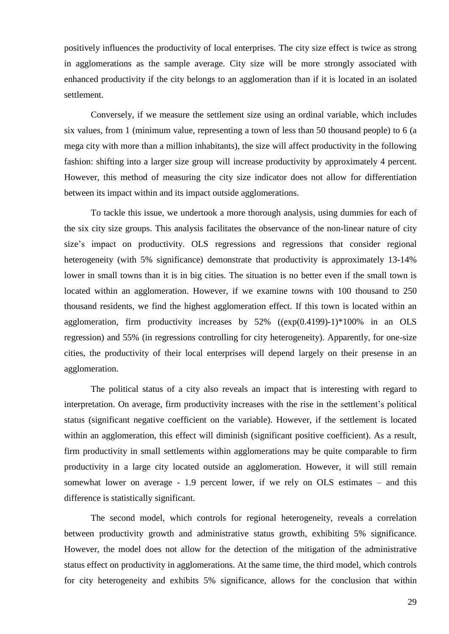positively influences the productivity of local enterprises. The city size effect is twice as strong in agglomerations as the sample average. City size will be more strongly associated with enhanced productivity if the city belongs to an agglomeration than if it is located in an isolated settlement.

Conversely, if we measure the settlement size using an ordinal variable, which includes six values, from 1 (minimum value, representing a town of less than 50 thousand people) to 6 (a mega city with more than a million inhabitants), the size will affect productivity in the following fashion: shifting into a larger size group will increase productivity by approximately 4 percent. However, this method of measuring the city size indicator does not allow for differentiation between its impact within and its impact outside agglomerations.

To tackle this issue, we undertook a more thorough analysis, using dummies for each of the six city size groups. This analysis facilitates the observance of the non-linear nature of city size's impact on productivity. OLS regressions and regressions that consider regional heterogeneity (with 5% significance) demonstrate that productivity is approximately 13-14% lower in small towns than it is in big cities. The situation is no better even if the small town is located within an agglomeration. However, if we examine towns with 100 thousand to 250 thousand residents, we find the highest agglomeration effect. If this town is located within an agglomeration, firm productivity increases by  $52\%$  ((exp(0.4199)-1)\*100% in an OLS regression) and 55% (in regressions controlling for city heterogeneity). Apparently, for one-size cities, the productivity of their local enterprises will depend largely on their presense in an agglomeration.

The political status of a city also reveals an impact that is interesting with regard to interpretation. On average, firm productivity increases with the rise in the settlement's political status (significant negative coefficient on the variable). However, if the settlement is located within an agglomeration, this effect will diminish (significant positive coefficient). As a result, firm productivity in small settlements within agglomerations may be quite comparable to firm productivity in a large city located outside an agglomeration. However, it will still remain somewhat lower on average - 1.9 percent lower, if we rely on OLS estimates – and this difference is statistically significant.

The second model, which controls for regional heterogeneity, reveals a correlation between productivity growth and administrative status growth, exhibiting 5% significance. However, the model does not allow for the detection of the mitigation of the administrative status effect on productivity in agglomerations. At the same time, the third model, which controls for city heterogeneity and exhibits 5% significance, allows for the conclusion that within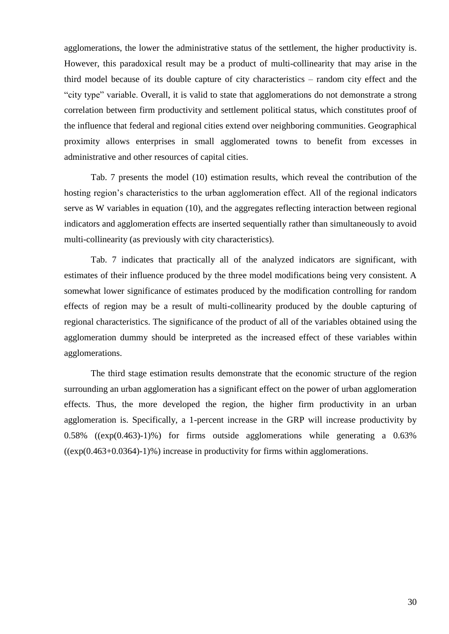agglomerations, the lower the administrative status of the settlement, the higher productivity is. However, this paradoxical result may be a product of multi-collinearity that may arise in the third model because of its double capture of city characteristics – random city effect and the "city type" variable. Overall, it is valid to state that agglomerations do not demonstrate a strong correlation between firm productivity and settlement political status, which constitutes proof of the influence that federal and regional cities extend over neighboring communities. Geographical proximity allows enterprises in small agglomerated towns to benefit from excesses in administrative and other resources of capital cities.

Tab. 7 presents the model (10) estimation results, which reveal the contribution of the hosting region's characteristics to the urban agglomeration effect. All of the regional indicators serve as W variables in equation (10), and the aggregates reflecting interaction between regional indicators and agglomeration effects are inserted sequentially rather than simultaneously to avoid multi-collinearity (as previously with city characteristics).

Tab. 7 indicates that practically all of the analyzed indicators are significant, with estimates of their influence produced by the three model modifications being very consistent. A somewhat lower significance of estimates produced by the modification controlling for random effects of region may be a result of multi-collinearity produced by the double capturing of regional characteristics. The significance of the product of all of the variables obtained using the agglomeration dummy should be interpreted as the increased effect of these variables within agglomerations.

The third stage estimation results demonstrate that the economic structure of the region surrounding an urban agglomeration has a significant effect on the power of urban agglomeration effects. Thus, the more developed the region, the higher firm productivity in an urban agglomeration is. Specifically, a 1-percent increase in the GRP will increase productivity by 0.58% ((exp(0.463)-1)%) for firms outside agglomerations while generating a 0.63%  $((exp(0.463+0.0364)-1)\%)$  increase in productivity for firms within agglomerations.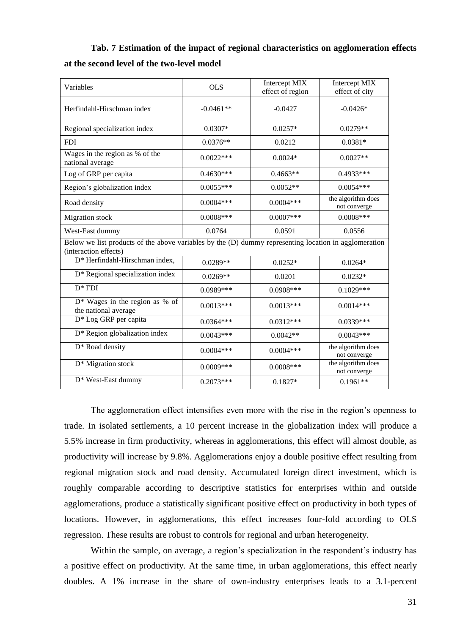**Tab. 7 Estimation of the impact of regional characteristics on agglomeration effects at the second level of the two-level model** 

|                                                                                                                                |             | Intercept MIX    | Intercept MIX                      |  |  |
|--------------------------------------------------------------------------------------------------------------------------------|-------------|------------------|------------------------------------|--|--|
| Variables                                                                                                                      | <b>OLS</b>  | effect of region | effect of city                     |  |  |
| Herfindahl-Hirschman index                                                                                                     | $-0.0461**$ | $-0.0427$        | $-0.0426*$                         |  |  |
| Regional specialization index                                                                                                  | $0.0307*$   | $0.0257*$        | $0.0279**$                         |  |  |
| <b>FDI</b>                                                                                                                     | $0.0376**$  | 0.0212           | $0.0381*$                          |  |  |
| Wages in the region as % of the<br>national average                                                                            | $0.0022***$ | $0.0024*$        | $0.0027**$                         |  |  |
| Log of GRP per capita                                                                                                          | $0.4630***$ | $0.4663**$       | 0.4933***                          |  |  |
| Region's globalization index                                                                                                   | $0.0055***$ | $0.0052**$       | $0.0054***$                        |  |  |
| Road density                                                                                                                   | $0.0004***$ | $0.0004***$      | the algorithm does<br>not converge |  |  |
| Migration stock                                                                                                                | $0.0008***$ | $0.0007***$      | $0.0008***$                        |  |  |
| West-East dummy                                                                                                                | 0.0764      | 0.0591           | 0.0556                             |  |  |
| Below we list products of the above variables by the (D) dummy representing location in agglomeration<br>(interaction effects) |             |                  |                                    |  |  |
| D* Herfindahl-Hirschman index,                                                                                                 | $0.0289**$  | $0.0252*$        | $0.0264*$                          |  |  |
| D* Regional specialization index                                                                                               | $0.0269**$  | 0.0201           | $0.0232*$                          |  |  |
| $D*FDI$                                                                                                                        | 0.0989***   | $0.0908***$      | $0.1029***$                        |  |  |
| $D^*$ Wages in the region as % of<br>the national average                                                                      | $0.0013***$ | $0.0013***$      | $0.0014***$                        |  |  |
| D <sup>*</sup> Log GRP per capita                                                                                              | $0.0364***$ | $0.0312***$      | $0.0339***$                        |  |  |
| D* Region globalization index                                                                                                  | $0.0043***$ | $0.0042**$       | $0.0043***$                        |  |  |
| D* Road density                                                                                                                | $0.0004***$ | $0.0004***$      | the algorithm does<br>not converge |  |  |
| D <sup>*</sup> Migration stock                                                                                                 | $0.0009***$ | $0.0008***$      | the algorithm does<br>not converge |  |  |
| D* West-East dummy                                                                                                             | $0.2073***$ | $0.1827*$        | $0.1961**$                         |  |  |

The agglomeration effect intensifies even more with the rise in the region's openness to trade. In isolated settlements, a 10 percent increase in the globalization index will produce a 5.5% increase in firm productivity, whereas in agglomerations, this effect will almost double, as productivity will increase by 9.8%. Agglomerations enjoy a double positive effect resulting from regional migration stock and road density. Accumulated foreign direct investment, which is roughly comparable according to descriptive statistics for enterprises within and outside agglomerations, produce a statistically significant positive effect on productivity in both types of locations. However, in agglomerations, this effect increases four-fold according to OLS regression. These results are robust to controls for regional and urban heterogeneity.

Within the sample, on average, a region's specialization in the respondent's industry has a positive effect on productivity. At the same time, in urban agglomerations, this effect nearly doubles. A 1% increase in the share of own-industry enterprises leads to a 3.1-percent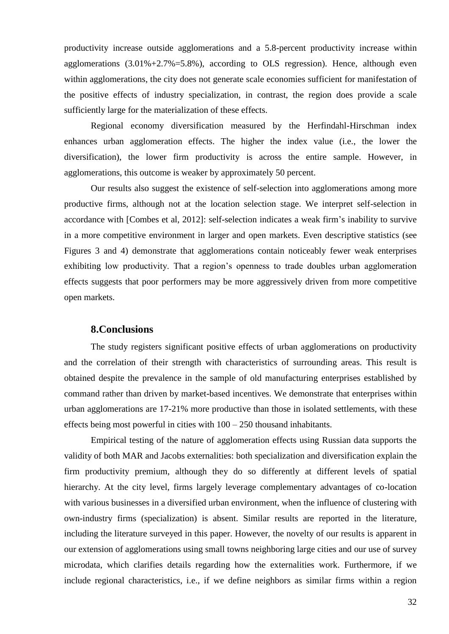productivity increase outside agglomerations and a 5.8-percent productivity increase within agglomerations  $(3.01\% + 2.7\% = 5.8\%)$ , according to OLS regression). Hence, although even within agglomerations, the city does not generate scale economies sufficient for manifestation of the positive effects of industry specialization, in contrast, the region does provide a scale sufficiently large for the materialization of these effects.

Regional economy diversification measured by the Herfindahl-Hirschman index enhances urban agglomeration effects. The higher the index value (i.e., the lower the diversification), the lower firm productivity is across the entire sample. However, in agglomerations, this outcome is weaker by approximately 50 percent.

Our results also suggest the existence of self-selection into agglomerations among more productive firms, although not at the location selection stage. We interpret self-selection in accordance with [Combes et al, 2012]: self-selection indicates a weak firm's inability to survive in a more competitive environment in larger and open markets. Even descriptive statistics (see Figures 3 and 4) demonstrate that agglomerations contain noticeably fewer weak enterprises exhibiting low productivity. That a region's openness to trade doubles urban agglomeration effects suggests that poor performers may be more aggressively driven from more competitive open markets.

#### **8.Conclusions**

The study registers significant positive effects of urban agglomerations on productivity and the correlation of their strength with characteristics of surrounding areas. This result is obtained despite the prevalence in the sample of old manufacturing enterprises established by command rather than driven by market-based incentives. We demonstrate that enterprises within urban agglomerations are 17-21% more productive than those in isolated settlements, with these effects being most powerful in cities with 100 – 250 thousand inhabitants.

Empirical testing of the nature of agglomeration effects using Russian data supports the validity of both MAR and Jacobs externalities: both specialization and diversification explain the firm productivity premium, although they do so differently at different levels of spatial hierarchy. At the city level, firms largely leverage complementary advantages of co-location with various businesses in a diversified urban environment, when the influence of clustering with own-industry firms (specialization) is absent. Similar results are reported in the literature, including the literature surveyed in this paper. However, the novelty of our results is apparent in our extension of agglomerations using small towns neighboring large cities and our use of survey microdata, which clarifies details regarding how the externalities work. Furthermore, if we include regional characteristics, i.e., if we define neighbors as similar firms within a region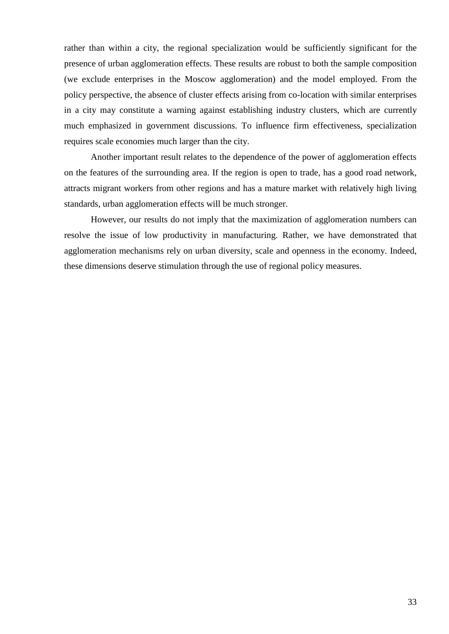rather than within a city, the regional specialization would be sufficiently significant for the presence of urban agglomeration effects. These results are robust to both the sample composition (we exclude enterprises in the Moscow agglomeration) and the model employed. From the policy perspective, the absence of cluster effects arising from co-location with similar enterprises in a city may constitute a warning against establishing industry clusters, which are currently much emphasized in government discussions. To influence firm effectiveness, specialization requires scale economies much larger than the city.

Another important result relates to the dependence of the power of agglomeration effects on the features of the surrounding area. If the region is open to trade, has a good road network, attracts migrant workers from other regions and has a mature market with relatively high living standards, urban agglomeration effects will be much stronger.

However, our results do not imply that the maximization of agglomeration numbers can resolve the issue of low productivity in manufacturing. Rather, we have demonstrated that agglomeration mechanisms rely on urban diversity, scale and openness in the economy. Indeed, these dimensions deserve stimulation through the use of regional policy measures.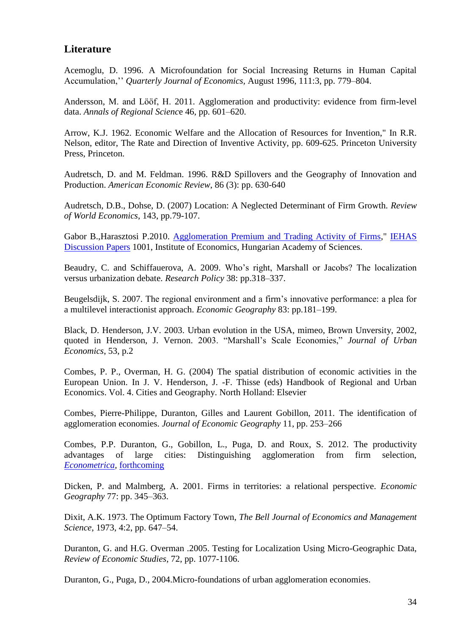## **Literature**

Acemoglu, D. 1996. A Microfoundation for Social Increasing Returns in Human Capital Accumulation,'' *Quarterly Journal of Economics,* August 1996, 111:3, pp. 779–804.

Andersson, M. and Lööf, H. 2011. Agglomeration and productivity: evidence from firm-level data. *Annals of Regional Scienc*e 46, pp. 601–620.

Arrow, K.J. 1962. Economic Welfare and the Allocation of Resources for Invention," In R.R. Nelson, editor, The Rate and Direction of Inventive Activity, pp. 609-625. Princeton University Press, Princeton.

Audretsch, D. and M. Feldman. 1996. R&D Spillovers and the Geography of Innovation and Production. *American Economic Review*, 86 (3): pp. 630-640

Audretsch, D.B., Dohse, D. (2007) Location: A Neglected Determinant of Firm Growth. *Review of World Economics*, 143, pp.79-107.

Gabor B.,Harasztosi P.2010. [Agglomeration Premium and Trading Activity of Firms,](http://ideas.repec.org/p/has/discpr/1001.html)" [IEHAS](http://ideas.repec.org/s/has/discpr.html)  [Discussion Papers](http://ideas.repec.org/s/has/discpr.html) 1001, Institute of Economics, Hungarian Academy of Sciences.

Beaudry, C. and Schiffauerova, A. 2009. Who's right, Marshall or Jacobs? The localization versus urbanization debate. *Research Policy* 38: pp.318–337.

Beugelsdijk, S. 2007. The regional environment and a firm's innovative performance: a plea for a multilevel interactionist approach. *Economic Geography* 83: pp.181–199.

Black, D. Henderson, J.V. 2003. Urban evolution in the USA, mimeo, Brown Unversity, 2002, quoted in Henderson, J. Vernon. 2003. "Marshall's Scale Economies," *Journal of Urban Economics*, 53, p.2

Combes, P. P., Overman, H. G. (2004) The spatial distribution of economic activities in the European Union. In J. V. Henderson, J. -F. Thisse (eds) Handbook of Regional and Urban Economics. Vol. 4. Cities and Geography. North Holland: Elsevier

Combes, Pierre-Philippe, Duranton, Gilles and Laurent Gobillon, 2011. The identification of agglomeration economies. *Journal of Economic Geography* 11, pp. 253–266

Combes, P.P. Duranton, G., Gobillon, L., Puga, D. and Roux, S. 2012. The productivity advantages of large cities: Distinguishing agglomeration from firm selection, *[Econometrica,](http://www.econometricsociety.org/aims.asp)* [forthcoming](http://www.econometricsociety.org/manus.asp)

Dicken, P. and Malmberg, A. 2001. Firms in territories: a relational perspective. *Economic Geography* 77: pp. 345–363.

Dixit, A.K. 1973. The Optimum Factory Town, *The Bell Journal of Economics and Management Science*, 1973, 4:2, pp. 647–54.

Duranton, G. and H.G. Overman .2005. Testing for Localization Using Micro-Geographic Data, *Review of Economic Studies*, 72, pp. 1077-1106.

Duranton, G., Puga, D., 2004.Micro-foundations of urban agglomeration economies.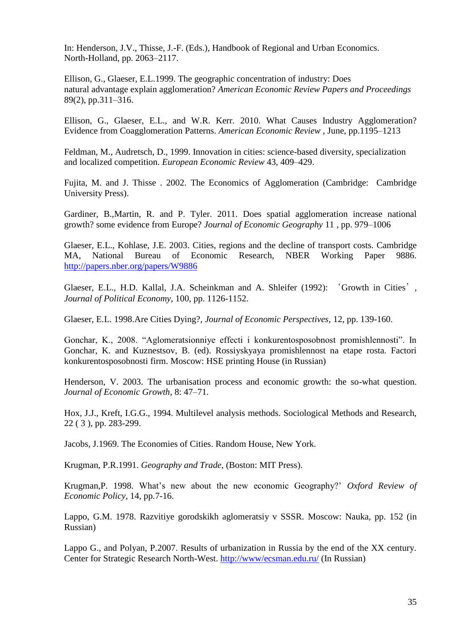In: Henderson, J.V., Thisse, J.-F. (Eds.), Handbook of Regional and Urban Economics. North-Holland, pp. 2063–2117.

Ellison, G., Glaeser, E.L.1999. The geographic concentration of industry: Does natural advantage explain agglomeration? *American Economic Review Papers and Proceedings* 89(2), pp.311–316.

Ellison, G., Glaeser, E.L., and W.R. Kerr. 2010. What Causes Industry Agglomeration? Evidence from Coagglomeration Patterns. *American Economic Review* , June, pp.1195–1213

Feldman, M., Audretsch, D., 1999. Innovation in cities: science-based diversity, specialization and localized competition. *European Economic Review* 43, 409–429.

Fujita, M. and J. Thisse . 2002. The Economics of Agglomeration (Cambridge: Cambridge University Press).

Gardiner, B.,Martin, R. and P. Tyler. 2011. Does spatial agglomeration increase national growth? some evidence from Europe? *Journal of Economic Geography* 11 , pp. 979–1006

Glaeser, E.L., Kohlase, J.E. 2003. Cities, regions and the decline of transport costs. Cambridge MA, National Bureau of Economic Research, NBER Working Paper 9886. <http://papers.nber.org/papers/W9886>

Glaeser, E.L., H.D. Kallal, J.A. Scheinkman and A. Shleifer (1992): 'Growth in Cities', *Journal of Political Economy*, 100, pp. 1126-1152.

Glaeser, E.L. 1998.Are Cities Dying?, *Journal of Economic Perspectives,* 12, pp. 139-160.

Gonchar, K., 2008. "Aglomeratsionniye effecti i konkurentosposobnost promishlennosti". In Gonchar, K. and Kuznestsov, B. (ed). Rossiyskyaya promishlennost na etape rosta. Factori konkurentosposobnosti firm. Moscow: HSE printing House (in Russian)

Henderson, V. 2003. The urbanisation process and economic growth: the so-what question. *Journal of Economic Growth*, 8: 47–71.

Hox, J.J., Kreft, I.G.G., 1994. Multilevel analysis methods. Sociological Methods and Research, 22 ( 3 ), pp. 283-299.

Jacobs, J.1969. The Economies of Cities. Random House, New York.

Krugman, P.R.1991. *Geography and Trade*, (Boston: MIT Press).

Krugman,P. 1998. What's new about the new economic Geography?' *Oxford Review of Economic Policy*, 14, pp.7-16.

Lappo, G.M. 1978. Razvitiye gorodskikh aglomeratsiy v SSSR. Moscow: Nauka, pp. 152 (in Russian)

Lappo G., and Polyan, P.2007. Results of urbanization in Russia by the end of the XX century. Center for Strategic Research North-West.<http://www/ecsman.edu.ru/> (In Russian)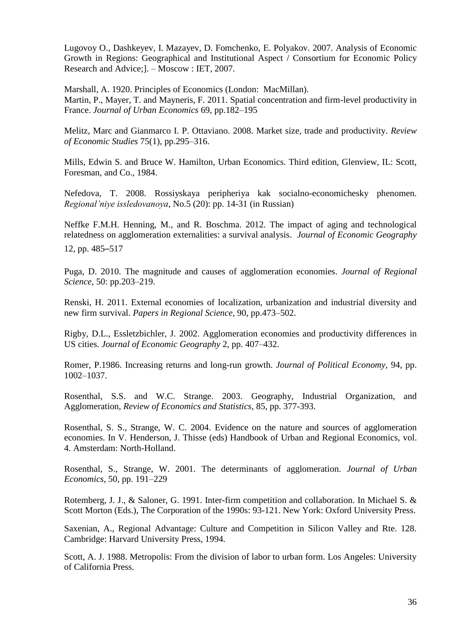Lugovoy O., Dashkeyev, I. Mazayev, D. Fomchenko, Е. Polyakov. 2007. Analysis of Economic Growth in Regions: Geographical and Institutional Aspect / Consortium for Economic Policy Research and Advice;]. – Moscow : IET, 2007.

Marshall, A. 1920. Principles of Economics (London: MacMillan). Martin, P., Mayer, T. and Mayneris, F. 2011. Spatial concentration and firm-level productivity in France. *Journal of Urban Economics* 69, pp.182–195

Melitz, Marc and Gianmarco I. P. Ottaviano. 2008. Market size, trade and productivity. *Review of Economic Studies* 75(1), pp.295–316.

Mills, Edwin S. and Bruce W. Hamilton, Urban Economics. Third edition, Glenview, IL: Scott, Foresman, and Co., 1984.

Nefedova, T. 2008. Rossiyskaya peripheriya kak socialno-economichesky phenomen. *Regional'niye issledovanoya*, No.5 (20): pp. 14-31 (in Russian)

Neffke F.M.H. Henning, M., and R. Boschma. 2012. The impact of aging and technological relatedness on agglomeration externalities: a survival analysis. *Journal of Economic Geography*  12, pp. 485–517

Puga, D. 2010. The magnitude and causes of agglomeration economies. *Journal of Regional Science*, 50: pp.203–219.

Renski, H. 2011. External economies of localization, urbanization and industrial diversity and new firm survival. *Papers in Regional Science*, 90, pp.473–502.

Rigby, D.L., Essletzbichler, J. 2002. Agglomeration economies and productivity differences in US cities. *Journal of Economic Geography* 2, pp. 407–432.

Romer, P.1986. Increasing returns and long-run growth. *Journal of Political Economy*, 94, pp. 1002–1037.

Rosenthal, S.S. and W.C. Strange. 2003. Geography, Industrial Organization, and Agglomeration, *Review of Economics and Statistics*, 85, pp. 377-393.

Rosenthal, S. S., Strange, W. C. 2004. Evidence on the nature and sources of agglomeration economies. In V. Henderson, J. Thisse (eds) Handbook of Urban and Regional Economics, vol. 4. Amsterdam: North-Holland.

Rosenthal, S., Strange, W. 2001. The determinants of agglomeration. *Journal of Urban Economics*, 50, pp. 191–229

Rotemberg, J. J., & Saloner, G. 1991. Inter-firm competition and collaboration. In Michael S. & Scott Morton (Eds.), The Corporation of the 1990s: 93-121. New York: Oxford University Press.

Saxenian, A., Regional Advantage: Culture and Competition in Silicon Valley and Rte. 128. Cambridge: Harvard University Press, 1994.

Scott, A. J. 1988. Metropolis: From the division of labor to urban form. Los Angeles: University of California Press.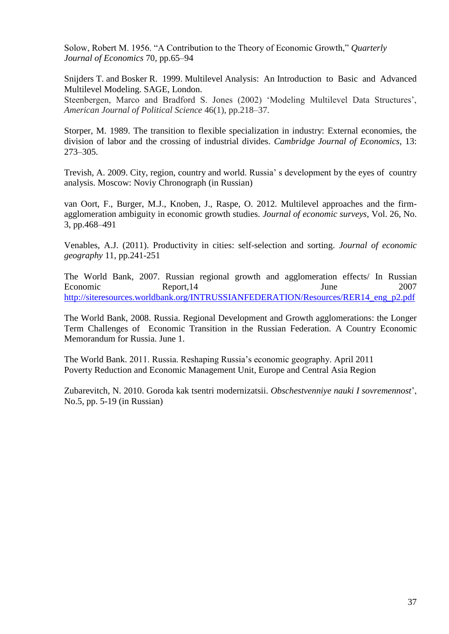Solow, Robert M. 1956. "A Contribution to the Theory of Economic Growth," *Quarterly Journal of Economics* 70, pp.65–94

Snijders T. and Bosker R. 1999. Multilevel Analysis: An Introduction to Basic and Advanced Multilevel Modeling. SAGE, London.

Steenbergen, Marco and Bradford S. Jones (2002) 'Modeling Multilevel Data Structures', *American Journal of Political Science* 46(1), pp.218–37.

Storper, M. 1989. The transition to flexible specialization in industry: External economies, the division of labor and the crossing of industrial divides. *Cambridge Journal of Economics,* 13: 273–305.

Trevish, A. 2009. City, region, country and world. Russia' s development by the eyes of country analysis. Moscow: Noviy Chronograph (in Russian)

van Oort, F., Burger, M.J., Knoben, J., Raspe, O. 2012. Multilevel approaches and the firmagglomeration ambiguity in economic growth studies. *Journal of economic surveys*, Vol. 26, No. 3, pp.468–491

Venables, A.J. (2011). Productivity in cities: self-selection and sorting. *Journal of economic geography* 11, pp.241-251

The World Bank, 2007. Russian regional growth and agglomeration effects/ In Russian Economic Report, 14 June 2007 [http://siteresources.worldbank.org/INTRUSSIANFEDERATION/Resources/RER14\\_eng\\_p2.pdf](http://siteresources.worldbank.org/INTRUSSIANFEDERATION/Resources/RER14_eng_p2.pdf)

The World Bank, 2008. Russia. Regional Development and Growth agglomerations: the Longer Term Challenges of Economic Transition in the Russian Federation. A Country Economic Memorandum for Russia. June 1.

The World Bank. 2011. Russia. Reshaping Russia's economic geography. April 2011 Poverty Reduction and Economic Management Unit, Europe and Central Asia Region

Zubarevitch, N. 2010. Goroda kak tsentri modernizatsii. *Obschestvenniye nauki I sovremennost*', No.5, pp. 5-19 (in Russian)